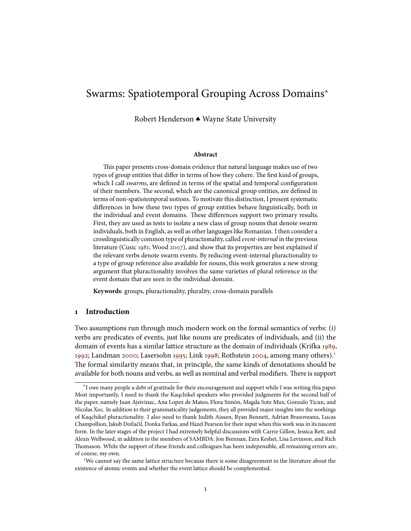# Swarms: Spatiotemporal Grouping Across Domains<sup>∗</sup>

Robert Henderson ♣ Wayne State University

#### **Abstract**

This paper presents cross-domain evidence that natural language makes use of two types of group entities that differ in terms of how they cohere. The first kind of groups, which I call swarms, are defined in terms of the spatial and temporal configuration of their members. The second, which are the canonical group entities, are defined in terms of non-spatiotemporal notions. To motivate this distinction, I present systematic differences in how these two types of group entities behave linguistically, both in the individual and event domains. These differences support two primary results. First, they are used as tests to isolate a new class of group nouns that denote swarm individuals, both in English, as well as other languages like Romanian. I then consider a crosslinguistically common type of pluractionality, called event-internal in the previous literature (Cusic [1981;](#page-37-0) Wood [2007\)](#page-39-0), and show that its properties are best explained if the relevant verbs denote swarm events. By reducing event-internal pluractionality to a type of group reference also available for nouns, this work generates a new strong argument that pluractionality involves the same varieties of plural reference in the event domain that are seen in the individual domain.

**Keywords**: groups, pluractionality, plurality, cross-domain parallels

# **1 Introduction**

Two assumptions run through much modern work on the formal semantics of verbs: (i) verbs are predicates of events, just like nouns are predicates of individuals, and (ii) the domain of events has a similar lattice structure as the domain of individuals (Krifka [1989,](#page-38-0) [1992;](#page-38-1) Landman [2000;](#page-38-2) Lasersohn [1995;](#page-38-3) Link [1998;](#page-38-4) Rothstein [2004,](#page-39-1) among many others).<sup>[1](#page-0-0)</sup> The formal similarity means that, in principle, the same kinds of denotations should be available for both nouns and verbs, as well as nominal and verbal modifiers. There is support

<sup>∗</sup> I owe many people a debt of gratitude for their encouragement and support while I was writing this paper. Most importantly, I need to thank the Kaqchikel speakers who provided judgments for the second half of the paper, namely Juan Ajsivinac, Ana Lopez de Mateo, Flora Simón, Magda Sotz Mux, Gonzalo Ticun, and Nicolas Xoc. In addition to their grammaticality judgements, they all provided major insights into the workings of Kaqchikel pluractionality. I also need to thank Judith Aissen, Ryan Bennett, Adrian Brasoveanu, Lucas Champollion, Jakub Dotlačil, Donka Farkas, and Hazel Pearson for their input when this work was in its nascent form. In the later stages of the project I had extremely helpful discussions with Carrie Gillon, Jessica Rett, and Alexis Wellwood, in addition to the members of SAMBDA: Jon Brennan, Ezra Keshet, Lisa Levinson, and Rich Thomason. While the support of these friends and colleagues has been indepensible, all remaining errors are, of course, my own.

<span id="page-0-0"></span><sup>&</sup>lt;sup>1</sup>We cannot say the same lattice structure because there is some disagreement in the literature about the existence of atomic events and whether the event lattice should be complemented.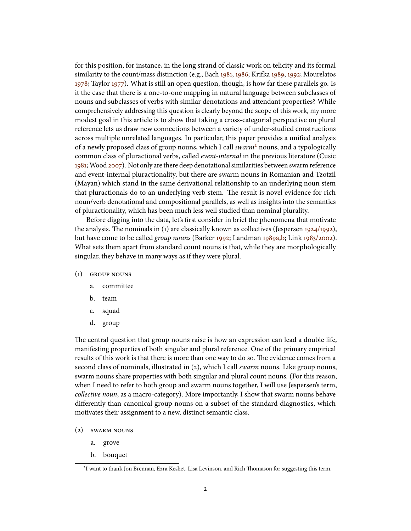for this position, for instance, in the long strand of classic work on telicity and its formal similarity to the count/mass distinction (e.g., Bach [1981,](#page-37-1) [1986;](#page-37-2) Krifka [1989,](#page-38-0) [1992;](#page-38-1) Mourelatos [1978;](#page-38-5) Taylor [1977\)](#page-39-2). What is still an open question, though, is how far these parallels go. Is it the case that there is a one-to-one mapping in natural language between subclasses of nouns and subclasses of verbs with similar denotations and attendant properties? While comprehensively addressing this question is clearly beyond the scope of this work, my more modest goal in this article is to show that taking a cross-categorial perspective on plural reference lets us draw new connections between a variety of under-studied constructions across multiple unrelated languages. In particular, this paper provides a unified analysis of a newly proposed class of group nouns, which I call swarm<sup>[2](#page-1-0)</sup> nouns, and a typologically common class of pluractional verbs, called *event-internal* in the previous literature (Cusic [1981;](#page-37-0) Wood [2007\)](#page-39-0). Not only are there deep denotational similarities between swarm reference and event-internal pluractionality, but there are swarm nouns in Romanian and Tzotzil (Mayan) which stand in the same derivational relationship to an underlying noun stem that pluractionals do to an underlying verb stem. The result is novel evidence for rich noun/verb denotational and compositional parallels, as well as insights into the semantics of pluractionality, which has been much less well studied than nominal plurality.

Before digging into the data, let's first consider in brief the phenomena that motivate the analysis. The nominals in  $(1)$  are classically known as collectives (Jespersen [1924/1992\)](#page-38-6), but have come to be called group nouns (Barker [1992;](#page-37-3) Landman [1989a,](#page-38-7)[b;](#page-38-8) Link [1983/2002\)](#page-38-9). What sets them apart from standard count nouns is that, while they are morphologically singular, they behave in many ways as if they were plural.

- (1) group nouns
	- a. committee
	- b. team
	- c. squad
	- d. group

The central question that group nouns raise is how an expression can lead a double life, manifesting properties of both singular and plural reference. One of the primary empirical results of this work is that there is more than one way to do so. The evidence comes from a second class of nominals, illustrated in (2), which I call *swarm* nouns. Like group nouns, swarm nouns share properties with both singular and plural count nouns. (For this reason, when I need to refer to both group and swarm nouns together, I will use Jespersen's term, collective noun, as a macro-category). More importantly, I show that swarm nouns behave differently than canonical group nouns on a subset of the standard diagnostics, which motivates their assignment to a new, distinct semantic class.

- (2) swarm nouns
	- a. grove
	- b. bouquet

<span id="page-1-0"></span><sup>&</sup>lt;sup>2</sup>I want to thank Jon Brennan, Ezra Keshet, Lisa Levinson, and Rich Thomason for suggesting this term.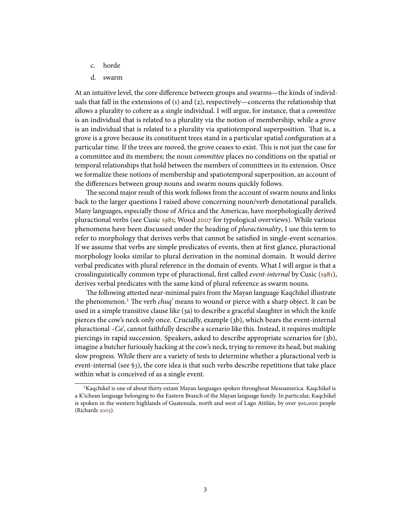- c. horde
- d. swarm

At an intuitive level, the core difference between groups and swarms—the kinds of individuals that fall in the extensions of (1) and (2), respectively—concerns the relationship that allows a plurality to cohere as a single individual. I will argue, for instance, that a *committee* is an individual that is related to a plurality via the notion of membership, while a *grove* is an individual that is related to a plurality via spatiotemporal superposition. That is, a grove is a grove because its constituent trees stand in a particular spatial configuration at a particular time. If the trees are moved, the grove ceases to exist. This is not just the case for a committee and its members; the noun *committee* places no conditions on the spatial or temporal relationships that hold between the members of committees in its extension. Once we formalize these notions of membership and spatiotemporal superposition, an account of the differences between group nouns and swarm nouns quickly follows.

The second major result of this work follows from the account of swarm nouns and links back to the larger questions I raised above concerning noun/verb denotational parallels. Many languages, especially those of Africa and the Americas, have morphologically derived pluractional verbs (see Cusic [1981;](#page-37-0) Wood [2007](#page-39-0) for typological overviews). While various phenomena have been discussed under the heading of pluractionality, I use this term to refer to morphology that derives verbs that cannot be satisfied in single-event scenarios. If we assume that verbs are simple predicates of events, then at first glance, pluractional morphology looks similar to plural derivation in the nominal domain. It would derive verbal predicates with plural reference in the domain of events. What I will argue is that a crosslinguistically common type of pluractional, first called *event-internal* by Cusic [\(1981\)](#page-37-0), derives verbal predicates with the same kind of plural reference as swarm nouns.

The following attested near-minimal pairs from the Mayan language Kaqchikel illustrate the phenomenon.<sup>[3](#page-2-0)</sup> The verb chuq' means to wound or pierce with a sharp object. It can be used in a simple transitive clause like (3a) to describe a graceful slaughter in which the knife pierces the cow's neck only once. Crucially, example (3b), which bears the event-internal pluractional  $-Ca'$ , cannot faithfully describe a scenario like this. Instead, it requires multiple piercings in rapid succession. Speakers, asked to describe appropriate scenarios for (3b), imagine a butcher furiously hacking at the cow's neck, trying to remove its head, but making slow progress. While there are a variety of tests to determine whether a pluractional verb is event-internal (see [§3\)](#page-14-0), the core idea is that such verbs describe repetitions that take place within what is conceived of as a single event.

<span id="page-2-0"></span><sup>&</sup>lt;sup>3</sup>Kaqchikel is one of about thirty extant Mayan languages spoken throughout Mesoamerica. Kaqchikel is a K'ichean language belonging to the Eastern Branch of the Mayan language family. In particular, Kaqchikel is spoken in the western highlands of Guatemala, north and west of Lago Atitlán, by over 500,000 people (Richards [2003\)](#page-39-3).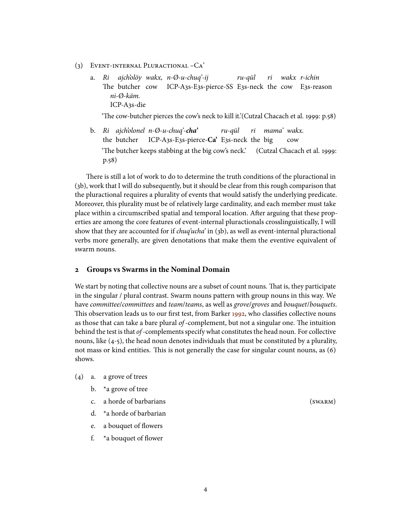- (3) Event-internal Pluractional –Ca'
	- a. Ri The butcher cow ajch'olöy wakx, n-Ø-u-chuq'-ij ICP-A3s-E3s-pierce-SS E3s-neck the cow E3s-reason ru-qül ri wakx r-ichin ni-Ø-käm. ICP-A3s-die

'The cow-butcher pierces the cow's neck to kill it.'(Cutzal Chacach et al. 1999:  $p.58$ )

b. Ri ajch'olonel n-Ø-u-chuq'-**cha'** the butcher ICP-A3s-E3s-pierce-**Ca'** E3s-neck the big ru-qül ri mama' wakx. cow 'The butcher keeps stabbing at the big cow's neck.' (Cutzal Chacach et al. 1999: p.58)

There is still a lot of work to do to determine the truth conditions of the pluractional in (3b), work that I will do subsequently, but it should be clear from this rough comparison that the pluractional requires a plurality of events that would satisfy the underlying predicate. Moreover, this plurality must be of relatively large cardinality, and each member must take place within a circumscribed spatial and temporal location. After arguing that these properties are among the core features of event-internal pluractionals crosslinguistically, I will show that they are accounted for if *chuq'ucha'* in (3b), as well as event-internal pluractional verbs more generally, are given denotations that make them the eventive equivalent of swarm nouns.

# <span id="page-3-0"></span>**2 Groups vs Swarms in the Nominal Domain**

We start by noting that collective nouns are a subset of count nouns. That is, they participate in the singular / plural contrast. Swarm nouns pattern with group nouns in this way. We have committee/committees and team/teams, as well as grove/groves and bouquet/bouquets. This observation leads us to our first test, from Barker [1992,](#page-37-3) who classifies collective nouns as those that can take a bare plural of-complement, but not a singular one. The intuition behind the test is that  $of$ -complements specify what constitutes the head noun. For collective nouns, like (4-5), the head noun denotes individuals that must be constituted by a plurality, not mass or kind entities. This is not generally the case for singular count nouns, as  $(6)$ shows.

- (4) a. a grove of trees
	- b. \*a grove of tree
	- c. a horde of barbarians (swarm)
	- d. \*a horde of barbarian
	- e. a bouquet of flowers
	- f.  $*$ a bouquet of flower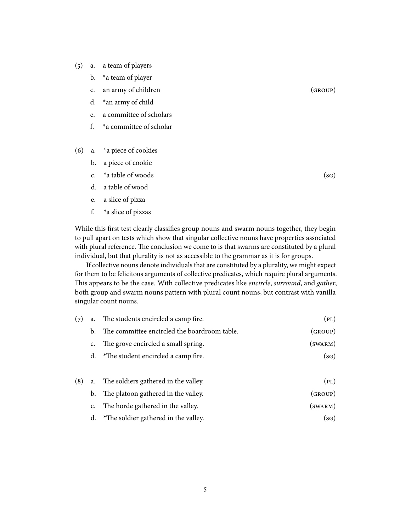- (5) a. a team of players
	- b. \*a team of player
	- c. an army of children (GROUP)
	- d. \*an army of child
	- e. a committee of scholars
	- f. \*a committee of scholar
- (6) a. \*a piece of cookies
	- b. a piece of cookie
	- c.  $*$ a table of woods (sg)
	- d. a table of wood
	- e. a slice of pizza
	- f. \*a slice of pizzas

While this first test clearly classifies group nouns and swarm nouns together, they begin to pull apart on tests which show that singular collective nouns have properties associated with plural reference. The conclusion we come to is that swarms are constituted by a plural individual, but that plurality is not as accessible to the grammar as it is for groups.

If collective nouns denote individuals that are constituted by a plurality, we might expect for them to be felicitous arguments of collective predicates, which require plural arguments. This appears to be the case. With collective predicates like encircle, surround, and gather, both group and swarm nouns pattern with plural count nouns, but contrast with vanilla singular count nouns.

| (PL)                | a. The students encircled a camp fire.<br>(7) |                |     |  |  |
|---------------------|-----------------------------------------------|----------------|-----|--|--|
| (GROUP)             | The committee encircled the boardroom table.  | b.             |     |  |  |
| $(s_{\text{WARM}})$ | The grove encircled a small spring.           | c.             |     |  |  |
| (sG)                | d. $*$ The student encircled a camp fire.     |                |     |  |  |
|                     |                                               |                |     |  |  |
| (PL)                | a. The soldiers gathered in the valley.       |                | (8) |  |  |
| (GROUP)             | b. The platoon gathered in the valley.        |                |     |  |  |
| $(s_{\text{WARM}})$ | The horde gathered in the valley.             | $\mathsf{C}$ . |     |  |  |
| (SG)                | d. *The soldier gathered in the valley.       |                |     |  |  |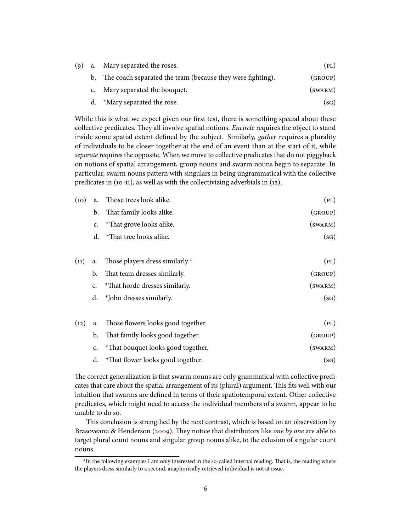|  | (9) a. Mary separated the roses.                              | (PL)                |
|--|---------------------------------------------------------------|---------------------|
|  | b. The coach separated the team (because they were fighting). | (GROUP)             |
|  | c. Mary separated the bouquet.                                | $(s_{\text{WARM}})$ |
|  | d. *Mary separated the rose.                                  | (sG)                |

While this is what we expect given our first test, there is something special about these collective predicates. They all involve spatial notions. *Encircle* requires the object to stand inside some spatial extent defined by the subject. Similarly, *gather* requires a plurality of individuals to be closer together at the end of an event than at the start of it, while separate requires the opposite. When we move to collective predicates that do not piggyback on notions of spatial arrangement, group nouns and swarm nouns begin to separate. In particular, swarm nouns pattern with singulars in being ungrammatical with the collective predicates in (10-11), as well as with the collectivizing adverbials in (12).

| (10) | a.            | Those trees look alike.                     | (PL)         |
|------|---------------|---------------------------------------------|--------------|
|      | b.            | That family looks alike.                    | (GROUP)      |
|      | $C_{\bullet}$ | *That grove looks alike.                    | $(s_{WARM})$ |
|      | d.            | *That tree looks alike.                     | (sG)         |
| (11) | a.            | Those players dress similarly. <sup>4</sup> | (PL)         |
|      | b.            | That team dresses similarly.                | (GROUP)      |
|      | c.            | *That horde dresses similarly.              | $(s_{WARM})$ |
|      |               | d. *John dresses similarly.                 | (sG)         |
| (12) | a.            | Those flowers looks good together.          | (PL)         |
|      | b.            | That family looks good together.            | (GROUP)      |
|      | c.            | *That bouquet looks good together.          | $(s_{WARM})$ |
|      | d.            | *That flower looks good together.           | (sG)         |

The correct generalization is that swarm nouns are only grammatical with collective predicates that care about the spatial arrangement of its (plural) argument. This fits well with our intuition that swarms are defined in terms of their spatiotemporal extent. Other collective predicates, which might need to access the individual members of a swarm, appear to be unable to do so.

This conclusion is strengthed by the next contrast, which is based on an observation by Brasoveanu & Henderson [\(2009\)](#page-37-4). They notice that distributors like one by one are able to target plural count nouns and singular group nouns alike, to the exlusion of singular count nouns.

<span id="page-5-0"></span><sup>&</sup>lt;sup>4</sup>In the following examples I am only interested in the so-called internal reading. That is, the reading where the players dress similarly to a second, anaphorically retrieved individual is not at issue.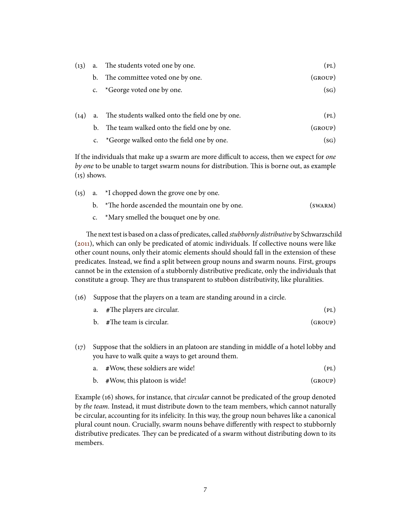| (13) |    | a. The students voted one by one.              | (PL)    |
|------|----|------------------------------------------------|---------|
|      |    | b. The committee voted one by one.             | (GROUP) |
|      |    | c. *George voted one by one.                   | (sG)    |
| (14) | a. | The students walked onto the field one by one. | (PL)    |

- b. The team walked onto the field one by one. (GROUP)
- c.  $*George$  walked onto the field one by one. (sG)

If the individuals that make up a swarm are more difficult to access, then we expect for one by one to be unable to target swarm nouns for distribution. This is borne out, as example (15) shows.

(15) a. \*I chopped down the grove one by one.

|  |  | *The horde ascended the mountain one by one. | $(s_{WARM})$ |
|--|--|----------------------------------------------|--------------|
|--|--|----------------------------------------------|--------------|

c. \*Mary smelled the bouquet one by one.

The next test is based on a class of predicates, called *stubbornly distributive* by Schwarzschild [\(2011\)](#page-39-4), which can only be predicated of atomic individuals. If collective nouns were like other count nouns, only their atomic elements should should fall in the extension of these predicates. Instead, we find a split between group nouns and swarm nouns. First, groups cannot be in the extension of a stubbornly distributive predicate, only the individuals that constitute a group. They are thus transparent to stubbon distributivity, like pluralities.

- (16) Suppose that the players on a team are standing around in a circle.
	- a. #The players are circular. (p<sub>L</sub>)
	- b. #The team is circular. (GROUP)
- (17) Suppose that the soldiers in an platoon are standing in middle of a hotel lobby and you have to walk quite a ways to get around them.
	- a. #Wow, these soldiers are wide! (p<sub>L</sub>)
	- b. #Wow, this platoon is wide! (GROUP)

Example (16) shows, for instance, that circular cannot be predicated of the group denoted by the team. Instead, it must distribute down to the team members, which cannot naturally be circular, accounting for its infelicity. In this way, the group noun behaves like a canonical plural count noun. Crucially, swarm nouns behave differently with respect to stubbornly distributive predicates. They can be predicated of a swarm without distributing down to its members.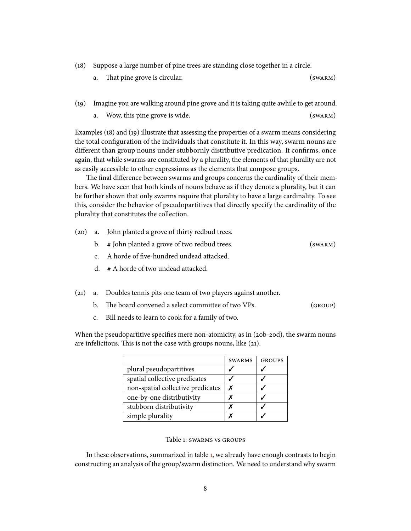(18) Suppose a large number of pine trees are standing close together in a circle.

| a. That pine grove is circular. | $(s_{WARM})$ |
|---------------------------------|--------------|
|                                 |              |

- (19) Imagine you are walking around pine grove and it is taking quite awhile to get around.
	- a. Wow, this pine grove is wide. (SWARM)

Examples (18) and (19) illustrate that assessing the properties of a swarm means considering the total configuration of the individuals that constitute it. In this way, swarm nouns are different than group nouns under stubbornly distributive predication. It confirms, once again, that while swarms are constituted by a plurality, the elements of that plurality are not as easily accessible to other expressions as the elements that compose groups.

The final difference between swarms and groups concerns the cardinality of their members. We have seen that both kinds of nouns behave as if they denote a plurality, but it can be further shown that only swarms require that plurality to have a large cardinality. To see this, consider the behavior of pseudopartitives that directly specify the cardinality of the plurality that constitutes the collection.

- (20) a. John planted a grove of thirty redbud trees.
	- b. **#** John planted a grove of two redbud trees. (swarm)
	- c. A horde of five-hundred undead attacked.
	- d. **#** A horde of two undead attacked.
- (21) a. Doubles tennis pits one team of two players against another.
	- b. The board convened a select committee of two VPs. (GROUP)
	- c. Bill needs to learn to cook for a family of two.

When the pseudopartitive specifies mere non-atomicity, as in (20b-20d), the swarm nouns are infelicitous. This is not the case with groups nouns, like  $(21)$ .

|                                   | <b>SWARMS</b> | <b>GROUPS</b> |
|-----------------------------------|---------------|---------------|
| plural pseudopartitives           |               |               |
| spatial collective predicates     |               |               |
| non-spatial collective predicates | X             |               |
| one-by-one distributivity         |               |               |
| stubborn distributivity           |               |               |
| simple plurality                  |               |               |

# <span id="page-7-0"></span>Table 1: swarms vs groups

In these observations, summarized in table [1,](#page-7-0) we already have enough contrasts to begin constructing an analysis of the group/swarm distinction. We need to understand why swarm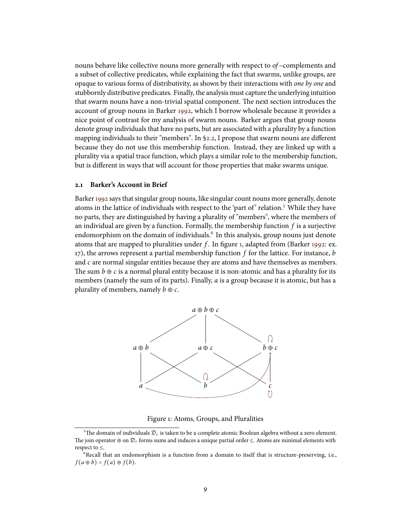nouns behave like collective nouns more generally with respect to  $of$  –complements and a subset of collective predicates, while explaining the fact that swarms, unlike groups, are opaque to various forms of distributivity, as shown by their interactions with one by one and stubbornly distributive predicates. Finally, the analysis must capture the underlying intuition that swarm nouns have a non-trivial spatial component. The next section introduces the account of group nouns in Barker [1992,](#page-37-3) which I borrow wholesale because it provides a nice point of contrast for my analysis of swarm nouns. Barker argues that group nouns denote group individuals that have no parts, but are associated with a plurality by a function mapping individuals to their "members". In  $\S$ 2.2, I propose that swarm nouns are different because they do not use this membership function. Instead, they are linked up with a plurality via a spatial trace function, which plays a similar role to the membership function, but is different in ways that will account for those properties that make swarms unique.

# **2.1 Barker's Account in Brief**

Barker [1992](#page-37-3) says that singular group nouns, like singular count nouns more generally, denote atoms in the lattice of individuals with respect to the 'part of' relation.<sup>[5](#page-8-0)</sup> While they have no parts, they are distinguished by having a plurality of "members", where the members of an individual are given by a function. Formally, the membership function  $f$  is a surjective endomorphism on the domain of individuals.  $\frac{1}{2}$  In this analysis, group nouns just denote atoms that are mapped to pluralities under f. In figure [1,](#page-8-2) adapted from (Barker [1992:](#page-37-3) ex. 17), the arrows represent a partial membership function  $f$  for the lattice. For instance,  $b$ and  $c$  are normal singular entities because they are atoms and have themselves as members. The sum  $b \oplus c$  is a normal plural entity because it is non-atomic and has a plurality for its members (namely the sum of its parts). Finally, a is a group because it is atomic, but has a plurality of members, namely  $b \oplus c$ .



<span id="page-8-2"></span>Figure 1: Atoms, Groups, and Pluralities

<span id="page-8-0"></span><sup>&</sup>lt;sup>5</sup>The domain of individuals  $\mathfrak{D}_e$  is taken to be a complete atomic Boolean algebra without a zero element. The join operator ⊕ on  $\mathcal{D}_{\varepsilon}$  forms sums and induces a unique partial order  $\leq$ . Atoms are minimal elements with respect to ≤.

<span id="page-8-1"></span> $6$ Recall that an endomorphism is a function from a domain to itself that is structure-preserving, i.e.,  $f(a \oplus b) = f(a) \oplus f(b).$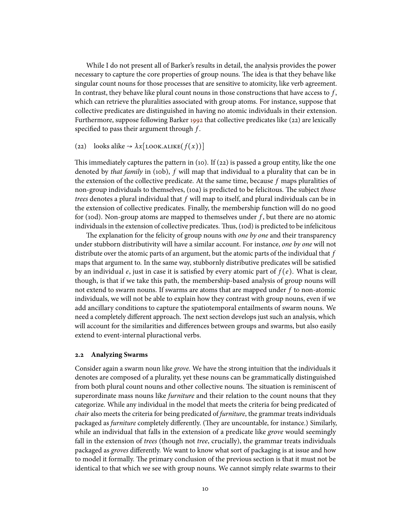While I do not present all of Barker's results in detail, the analysis provides the power necessary to capture the core properties of group nouns. The idea is that they behave like singular count nouns for those processes that are sensitive to atomicity, like verb agreement. In contrast, they behave like plural count nouns in those constructions that have access to  $f$ , which can retrieve the pluralities associated with group atoms. For instance, suppose that collective predicates are distinguished in having no atomic individuals in their extension. Furthermore, suppose following Barker [1992](#page-37-3) that collective predicates like (22) are lexically specified to pass their argument through  $f$ .

# (22) looks alike  $\rightarrow \lambda x$ [LOOK.ALIKE $(f(x))]$ ]

This immediately captures the pattern in (10). If (22) is passed a group entity, like the one denoted by *that family* in (10b), f will map that individual to a plurality that can be in the extension of the collective predicate. At the same time, because  $f$  maps pluralities of non-group individuals to themselves, (10a) is predicted to be felicitous. The subject those trees denotes a plural individual that  $f$  will map to itself, and plural individuals can be in the extension of collective predicates. Finally, the membership function will do no good for (10d). Non-group atoms are mapped to themselves under  $f$ , but there are no atomic individuals in the extension of collective predicates. Thus, (10d) is predicted to be infelicitous

The explanation for the felicity of group nouns with one by one and their transparency under stubborn distributivity will have a similar account. For instance, one by one will not distribute over the atomic parts of an argument, but the atomic parts of the individual that  $f$ maps that argument to. In the same way, stubbornly distributive predicates will be satisfied by an individual e, just in case it is satisfied by every atomic part of  $f(e)$ . What is clear, though, is that if we take this path, the membership-based analysis of group nouns will not extend to swarm nouns. If swarms are atoms that are mapped under  $f$  to non-atomic individuals, we will not be able to explain how they contrast with group nouns, even if we add ancillary conditions to capture the spatiotemporal entailments of swarm nouns. We need a completely different approach. The next section develops just such an analysis, which will account for the similarities and differences between groups and swarms, but also easily extend to event-internal pluractional verbs.

#### <span id="page-9-0"></span>**2.2 Analyzing Swarms**

Consider again a swarm noun like grove. We have the strong intuition that the individuals it denotes are composed of a plurality, yet these nouns can be grammatically distinguished from both plural count nouns and other collective nouns. The situation is reminiscent of superordinate mass nouns like *furniture* and their relation to the count nouns that they categorize. While any individual in the model that meets the criteria for being predicated of *chair* also meets the criteria for being predicated of *furniture*, the grammar treats individuals packaged as *furniture* completely differently. (They are uncountable, for instance.) Similarly, while an individual that falls in the extension of a predicate like *grove* would seemingly fall in the extension of *trees* (though not *tree*, crucially), the grammar treats individuals packaged as groves differently. We want to know what sort of packaging is at issue and how to model it formally. The primary conclusion of the previous section is that it must not be identical to that which we see with group nouns. We cannot simply relate swarms to their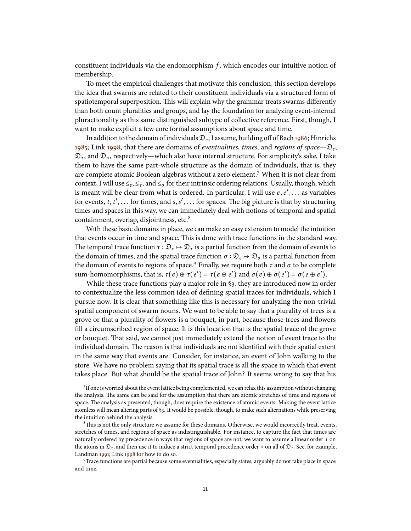constituent individuals via the endomorphism  $f$ , which encodes our intuitive notion of membership.

To meet the empirical challenges that motivate this conclusion, this section develops the idea that swarms are related to their constituent individuals via a structured form of spatiotemporal superposition. This will explain why the grammar treats swarms differently than both count pluralities and groups, and lay the foundation for analyzing event-internal pluractionality as this same distinguished subtype of collective reference. First, though, I want to make explicit a few core formal assumptions about space and time.

In addition to the domain of individuals  $\mathcal{D}_e$ , I assume, building off of Bach [1986;](#page-37-2) Hinrichs [1985;](#page-38-10) Link [1998,](#page-38-4) that there are domains of eventualities, times, and regions of space— $\mathfrak{D}_{\varepsilon}$ ,  $\mathfrak{D}_{\tau}$ , and  $\mathfrak{D}_{\sigma}$ , respectively—which also have internal structure. For simplicity's sake, I take them to have the same part-whole structure as the domain of individuals, that is, they are complete atomic Boolean algebras without a zero element.<sup>[7](#page-10-0)</sup> When it is not clear from context, I will use  $\leq_{\varepsilon}$ ,  $\leq_{\tau}$ , and  $\leq_{\sigma}$  for their intrinsic ordering relations. Usually, though, which is meant will be clear from what is ordered. In particular, I will use  $e, e', \ldots$  as variables for events, t, t', ... for times, and s, s', ... for spaces. The big picture is that by structuring times and spaces in this way, we can immediately deal with notions of temporal and spatial containment, overlap, disjointness, etc.<sup>[8](#page-10-1)</sup>

With these basic domains in place, we can make an easy extension to model the intuition that events occur in time and space. This is done with trace functions in the standard way. The temporal trace function  $\tau : \mathfrak{D}_{\varepsilon} \mapsto \mathfrak{D}_{\tau}$  is a partial function from the domain of events to the domain of times, and the spatial trace function  $\sigma : \mathcal{D}_\varepsilon \mapsto \mathcal{D}_\sigma$  is a partial function from the domain of events to regions of space.<sup>[9](#page-10-2)</sup> Finally, we require both  $\tau$  and  $\sigma$  to be complete sum-homomorphisms, that is,  $\tau(e) \oplus \tau(e') = \tau(e \oplus e')$  and  $\sigma(e) \oplus \sigma(e') = \sigma(e \oplus e').$ 

While these trace functions play a major role in [§3,](#page-14-0) they are introduced now in order to contextualize the less common idea of dening spatial traces for individuals, which I pursue now. It is clear that something like this is necessary for analyzing the non-trivial spatial component of swarm nouns. We want to be able to say that a plurality of trees is a grove or that a plurality of flowers is a bouquet, in part, because those trees and flowers fill a circumscribed region of space. It is this location that is the spatial trace of the grove or bouquet. That said, we cannot just immediately extend the notion of event trace to the individual domain. The reason is that individuals are not identified with their spatial extent in the same way that events are. Consider, for instance, an event of John walking to the store. We have no problem saying that its spatial trace is all the space in which that event takes place. But what should be the spatial trace of John? It seems wrong to say that his

<span id="page-10-0"></span><sup>7</sup> If one is worried about the event lattice being complemented, we can relax this assumption without changing the analysis. The same can be said for the assumption that there are atomic stretches of time and regions of space. The analysis as presented, though, does require the existence of atomic events. Making the event lattice atomless will mean altering parts of [§3.](#page-14-0) It would be possible, though, to make such alternations while preserving the intuition behind the analysis.

<span id="page-10-1"></span> ${}^{8}$ This is not the only structure we assume for these domains. Otherwise, we would incorrectly treat, events, stretches of times, and regions of space as indistinguishable. For instance, to capture the fact that times are naturally ordered by precedence in ways that regions of space are not, we want to assume a linear order ≼ on the atoms in  $\mathfrak{D}_\tau$ , and then use it to induce a strict temporal precedence order < on all of  $\mathfrak{D}_\tau$ . See, for example, Landman [1991;](#page-38-11) Link [1998](#page-38-4) for how to do so.

<span id="page-10-2"></span><sup>9</sup>Trace functions are partial because some eventualities, especially states, arguably do not take place in space and time.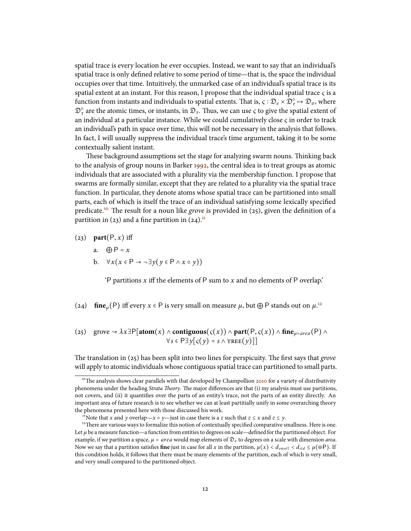spatial trace is every location he ever occupies. Instead, we want to say that an individual's spatial trace is only defined relative to some period of time—that is, the space the individual occupies over that time. Intuitively, the unmarked case of an individual's spatial trace is its spatial extent at an instant. For this reason, I propose that the individual spatial trace  $\varsigma$  is a function from instants and individuals to spatial extents. That is,  $\varsigma : \mathfrak{D}_e \times \mathfrak{D}_\tau^\circ \mapsto \mathfrak{D}_\sigma$ , where  $\mathfrak{D}_\tau^\circ$  are the atomic times, or instants, in  $\mathfrak{D}_\tau$ . Thus, we can use  $\varsigma$  to give the spatial extent of an individual at a particular instance. While we could cumulatively close  $\varsigma$  in order to track an individual's path in space over time, this will not be necessary in the analysis that follows. In fact, I will usually suppress the individual trace's time argument, taking it to be some contextually salient instant.

These background assumptions set the stage for analyzing swarm nouns. Thinking back to the analysis of group nouns in Barker [1992,](#page-37-3) the central idea is to treat groups as atomic individuals that are associated with a plurality via the membership function. I propose that swarms are formally similar, except that they are related to a plurality via the spatial trace function. In particular, they denote atoms whose spatial trace can be partitioned into small parts, each of which is itself the trace of an individual satisfying some lexically specified predicate.<sup>[10](#page-11-0)</sup> The result for a noun like grove is provided in (25), given the definition of a partition in (23) and a fine partition in  $(24)^{11}$  $(24)^{11}$  $(24)^{11}$ .

- (23) **part** $(P, x)$  iff
	- a.  $\oplus P = x$
	- b.  $\forall x (x \in P \rightarrow \neg \exists y (y \in P \land x \circ y))$

'P partitions  $x$  iff the elements of P sum to  $x$  and no elements of P overlap.'

- (24) **fine**<sub> $\mu$ </sub>(P) iff every  $x \in P$  is very small on measure  $\mu$ , but  $\bigoplus P$  stands out on  $\mu$ .<sup>[12](#page-11-2)</sup>
- (25) grove **→**  $\lambda x \exists P$ [atom $(x) \land$  **contiguous** $(c(x)) \land$  **part** $(P, c(x)) \land$  **fine**<sub> $\mu = area(P) \land$ </sub>  $\forall s \in \mathsf{P}\exists y[s(y) = s \land \text{Tree}(y)]$

The translation in  $(25)$  has been split into two lines for perspicuity. The first says that *grove* will apply to atomic individuals whose contiguous spatial trace can partitioned to small parts.

<span id="page-11-0"></span> $10^{\circ}$ The analysis shows clear parallels with that developed by Champollion [2010](#page-37-5) for a variety of distributivity phenomena under the heading Strata Theory. The major differences are that (i) my analysis must use partitions, not covers, and (ii) it quantifies over the parts of an entity's trace, not the parts of an entity directly. An important area of future research is to see whether we can at least partitially unify in some overarching theory the phenomena presented here with those discussed his work.

<span id="page-11-2"></span><span id="page-11-1"></span><sup>&</sup>lt;sup>11</sup>Note that x and y overlap—x  $\circ$  y—just in case there is a z such that  $z \le x$  and  $z \le y$ .

<sup>&</sup>lt;sup>12</sup>There are various ways to formalize this notion of contextually specified comparative smallness. Here is one. Let  $\mu$  be a measure function—a function from entities to degrees on scale—defined for the partitioned object. For example, if we partition a space,  $\mu = area$  would map elements of  $\mathfrak{D}_{\sigma}$  to degrees on a scale with dimension *area*. Now we say that a partition satisfies **fine** just in case for all x in the partition,  $\mu(x) < d_{small} < d_{std} \leq \mu(\oplus P)$ . If this condition holds, it follows that there must be many elements of the partition, each of which is very small, and very small compared to the partitioned object.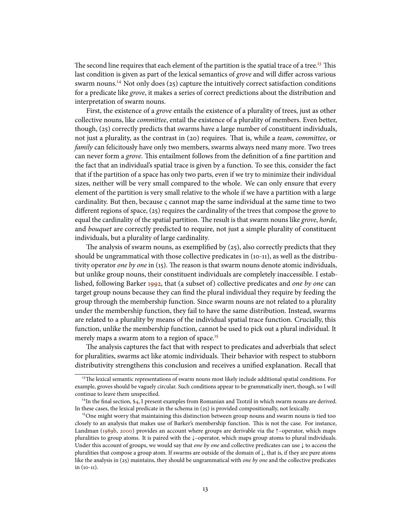The second line requires that each element of the partition is the spatial trace of a tree.<sup>[13](#page-12-0)</sup> This last condition is given as part of the lexical semantics of *grove* and will differ across various swarm nouns.<sup>[14](#page-12-1)</sup> Not only does  $(25)$  capture the intuitively correct satisfaction conditions for a predicate like grove, it makes a series of correct predictions about the distribution and interpretation of swarm nouns.

First, the existence of a grove entails the existence of a plurality of trees, just as other collective nouns, like committee, entail the existence of a plurality of members. Even better, though, (25) correctly predicts that swarms have a large number of constituent individuals, not just a plurality, as the contrast in (20) requires. That is, while a *team, committee*, or family can felicitously have only two members, swarms always need many more. Two trees can never form a *grove*. This entailment follows from the definition of a fine partition and the fact that an individual's spatial trace is given by a function. To see this, consider the fact that if the partition of a space has only two parts, even if we try to minimize their individual sizes, neither will be very small compared to the whole. We can only ensure that every element of the partition is very small relative to the whole if we have a partition with a large cardinality. But then, because  $\varsigma$  cannot map the same individual at the same time to two different regions of space,  $(25)$  requires the cardinality of the trees that compose the grove to equal the cardinality of the spatial partition. The result is that swarm nouns like grove, horde, and bouquet are correctly predicted to require, not just a simple plurality of constituent individuals, but a plurality of large cardinality.

The analysis of swarm nouns, as exemplified by  $(25)$ , also correctly predicts that they should be ungrammatical with those collective predicates in (10-11), as well as the distributivity operator one by one in  $(15)$ . The reason is that swarm nouns denote atomic individuals, but unlike group nouns, their constituent individuals are completely inaccessible. I established, following Barker [1992,](#page-37-3) that (a subset of) collective predicates and one by one can target group nouns because they can find the plural individual they require by feeding the group through the membership function. Since swarm nouns are not related to a plurality under the membership function, they fail to have the same distribution. Instead, swarms are related to a plurality by means of the individual spatial trace function. Crucially, this function, unlike the membership function, cannot be used to pick out a plural individual. It merely maps a swarm atom to a region of space.<sup>[15](#page-12-2)</sup>

The analysis captures the fact that with respect to predicates and adverbials that select for pluralities, swarms act like atomic individuals. Their behavior with respect to stubborn distributivity strengthens this conclusion and receives a unified explanation. Recall that

<span id="page-12-0"></span><sup>&</sup>lt;sup>13</sup>The lexical semantic representations of swarm nouns most likely include additional spatial conditions. For example, groves should be vaguely circular. Such conditions appear to be grammatically inert, though, so I will continue to leave them unspecified.

<span id="page-12-1"></span> $14$ In the final section, [§4,](#page-31-0) I present examples from Romanian and Tzotzil in which swarm nouns are derived. In these cases, the lexical predicate in the schema in (25) is provided compositionally, not lexically.

<span id="page-12-2"></span><sup>&</sup>lt;sup>15</sup>One might worry that maintaining this distinction between group nouns and swarm nouns is tied too closely to an analysis that makes use of Barker's membership function. This is not the case. For instance, Landman [\(1989b,](#page-38-8) [2000\)](#page-38-2) provides an account where groups are derivable via the ↑–operator, which maps pluralities to group atoms. It is paired with the ↓–operator, which maps group atoms to plural individuals. Under this account of groups, we would say that *one by one* and collective predicates can use  $\downarrow$  to access the pluralities that compose a group atom. If swarms are outside of the domain of ↓, that is, if they are pure atoms like the analysis in (25) maintains, they should be ungrammatical with one by one and the collective predicates in (10-11).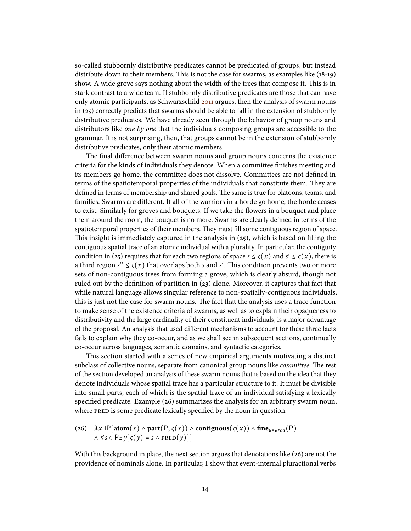so-called stubbornly distributive predicates cannot be predicated of groups, but instead distribute down to their members. This is not the case for swarms, as examples like  $(18-19)$ show. A wide grove says nothing about the width of the trees that compose it. This is in stark contrast to a wide team. If stubbornly distributive predicates are those that can have only atomic participants, as Schwarzschild [2011](#page-39-4) argues, then the analysis of swarm nouns in (25) correctly predicts that swarms should be able to fall in the extension of stubbornly distributive predicates. We have already seen through the behavior of group nouns and distributors like *one by one* that the individuals composing groups are accessible to the grammar. It is not surprising, then, that groups cannot be in the extension of stubbornly distributive predicates, only their atomic members.

The final difference between swarm nouns and group nouns concerns the existence criteria for the kinds of individuals they denote. When a committee finishes meeting and its members go home, the committee does not dissolve. Committees are not defined in terms of the spatiotemporal properties of the individuals that constitute them. They are defined in terms of membership and shared goals. The same is true for platoons, teams, and families. Swarms are different. If all of the warriors in a horde go home, the horde ceases to exist. Similarly for groves and bouquets. If we take the flowers in a bouquet and place them around the room, the bouquet is no more. Swarms are clearly defined in terms of the spatiotemporal properties of their members. They must fill some contiguous region of space. This insight is immediately captured in the analysis in  $(25)$ , which is based on filling the contiguous spatial trace of an atomic individual with a plurality. In particular, the contiguity condition in (25) requires that for each two regions of space  $s \leq \varsigma(x)$  and  $s' \leq \varsigma(x)$ , there is a third region  $s'' \leq \varsigma(x)$  that overlaps both s and s'. This condition prevents two or more sets of non-contiguous trees from forming a grove, which is clearly absurd, though not ruled out by the definition of partition in  $(23)$  alone. Moreover, it captures that fact that while natural language allows singular reference to non-spatially-contiguous individuals, this is just not the case for swarm nouns. The fact that the analysis uses a trace function to make sense of the existence criteria of swarms, as well as to explain their opaqueness to distributivity and the large cardinality of their constituent individuals, is a major advantage of the proposal. An analysis that used different mechanisms to account for these three facts fails to explain why they co-occur, and as we shall see in subsequent sections, continually co-occur across languages, semantic domains, and syntactic categories.

This section started with a series of new empirical arguments motivating a distinct subclass of collective nouns, separate from canonical group nouns like *committee*. The rest of the section developed an analysis of these swarm nouns that is based on the idea that they denote individuals whose spatial trace has a particular structure to it. It must be divisible into small parts, each of which is the spatial trace of an individual satisfying a lexically specified predicate. Example  $(26)$  summarizes the analysis for an arbitrary swarm noun, where PRED is some predicate lexically specified by the noun in question.

(26) 
$$
\lambda x \exists P[\text{atom}(x) \land \text{part}(P, \varsigma(x)) \land \text{contiguous}(\varsigma(x)) \land \text{fine}_{\mu = area}(P)
$$
  
 $\land \forall s \in P \exists y [\varsigma(y) = s \land \text{pRED}(y)]]$ 

With this background in place, the next section argues that denotations like (26) are not the providence of nominals alone. In particular, I show that event-internal pluractional verbs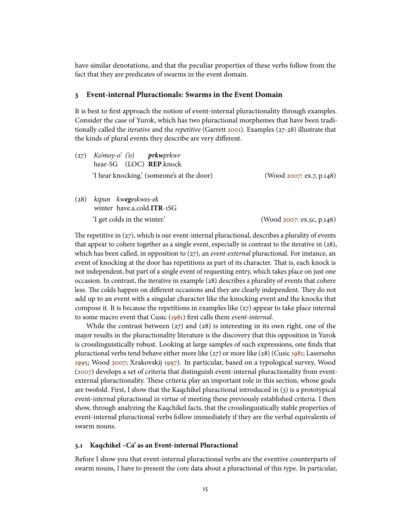have similar denotations, and that the peculiar properties of these verbs follow from the fact that they are predicates of swarms in the event domain.

# <span id="page-14-0"></span>**3 Event-internal Pluractionals: Swarms in the Event Domain**

It is best to first approach the notion of event-internal pluractionality through examples. Consider the case of Yurok, which has two pluractional morphemes that have been traditionally called the *iterative* and the *repetitive* (Garrett [2001\)](#page-37-6). Examples (27-28) illustrate that the kinds of plural events they describe are very different.

- $(z_7)$  Ko'mov-o' ('o) hear-SG (LOC) **REP**.knock **prkw**prkwr 'I hear knocking.' (someone's at the door) (Wood [2007:](#page-39-0) ex.7, p.148)
- (28) kipun kw**eg**eskwes-ek winter have.a.cold.**ITR**-1SG 'I get colds in the winter.' (Wood [2007:](#page-39-0) ex.5c, p.146)

The repetitive in  $(27)$ , which is our event-internal pluractional, describes a plurality of events that appear to cohere together as a single event, especially in contrast to the iterative in (28), which has been called, in opposition to (27), an *event-external* pluractional. For instance, an event of knocking at the door has repetitions as part of its character. That is, each knock is not independent, but part of a single event of requesting entry, which takes place on just one occasion. In contrast, the iterative in example (28) describes a plurality of events that cohere less. The colds happen on different occasions and they are clearly independent. They do not add up to an event with a singular character like the knocking event and the knocks that compose it. It is because the repetitions in examples like  $(zz)$  appear to take place internal to some macro event that Cusic [\(1981\)](#page-37-0) first calls them event-internal.

While the contrast between  $(27)$  and  $(28)$  is interesting in its own right, one of the major results in the pluractionality literature is the discovery that this opposition in Yurok is crosslinguistically robust. Looking at large samples of such expressions, one finds that pluractional verbs tend behave either more like (27) or more like (28) (Cusic [1981;](#page-37-0) Lasersohn [1995;](#page-38-3) Wood [2007;](#page-39-0) Xrakovskij [1997\)](#page-39-5). In particular, based on a typological survey, Wood [\(2007\)](#page-39-0) develops a set of criteria that distinguish event-internal pluractionality from eventexternal pluractionality. These criteria play an important role in this section, whose goals are twofold. First, I show that the Kaqchikel pluractional introduced in (3) is a prototypical event-internal pluractional in virtue of meeting these previously established criteria. I then show, through analyzing the Kaqchikel facts, that the crosslinguistically stable properties of event-internal pluractional verbs follow immediately if they are the verbal equivalents of swarm nouns.

#### <span id="page-14-1"></span>**3.1 Kaqchikel –Ca' as an Event-internal Pluractional**

Before I show you that event-internal pluractional verbs are the eventive counterparts of swarm nouns, I have to present the core data about a pluractional of this type. In particular,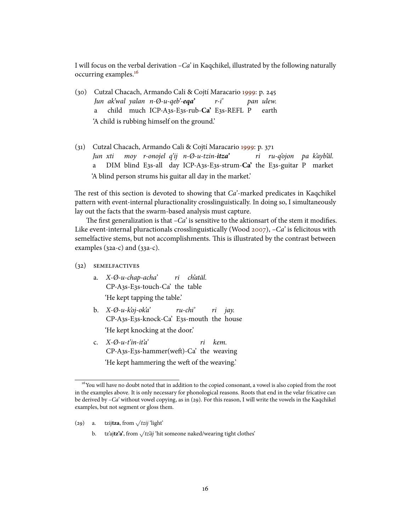I will focus on the verbal derivation  $-Ca'$  in Kaqchikel, illustrated by the following naturally occurring examples.[16](#page-15-0)

- (30) Cutzal Chacach, Armando Cali & Cojtí Maracario [1999:](#page-37-7) p. 245 Jun ak'wal yalan n-Ø-u-qeb'-**eqa'** a child much ICP-A3s-E3s-rub-**Ca'** E3s-REFL P  $r-i$ pan ulew. earth 'A child is rubbing himself on the ground.'
- (31) Cutzal Chacach, Armando Cali & Cojtí Maracario [1999:](#page-37-7) p. 371 Jun xti a DIM blind E3s-all day ICP-A3s-E3s-strum-**Ca'** the E3s-guitar P market moy r-onojel q'ij n-Ø-u-tzin-**itza'** ri ru-q'ojon pa k'ayb'äl. 'A blind person strums his guitar all day in the market.'

The rest of this section is devoted to showing that  $Ca<sup>2</sup>$ -marked predicates in Kaqchikel pattern with event-internal pluractionality crosslinguistically. In doing so, I simultaneously lay out the facts that the swarm-based analysis must capture.

The first generalization is that  $-Ca'$  is sensitive to the aktionsart of the stem it modifies. Like event-internal pluractionals crosslinguistically (Wood [2007\)](#page-39-0),  $-Ca'$  is felicitous with semelfactive stems, but not accomplishments. This is illustrated by the contrast between examples (32a-c) and (33a-c).

#### (32) semelfactives

- a. X-Ø-u-chap-acha' CP-A3s-E3s-touch-Ca' the table ri ch'atäl. 'He kept tapping the table.'
- b. X-Ø-u-k'oj-ok'a' CP-A3s-E3s-knock-Ca' E3s-mouth the house ru-chi' ri *iav*. 'He kept knocking at the door.'
- c.  $X \emptyset u t'in it'a'$ CP-A3s-E3s-hammer(weft)-Ca' the weaving ri kem. 'He kept hammering the weft of the weaving.'

<span id="page-15-0"></span><sup>&</sup>lt;sup>16</sup>You will have no doubt noted that in addition to the copied consonant, a vowel is also copied from the root in the examples above. It is only necessary for phonological reasons. Roots that end in the velar fricative can be derived by  $-Ca'$  without vowel copying, as in (29). For this reason, I will write the vowels in the Kaqchikel examples, but not segment or gloss them.

<sup>(29)</sup> a. tzii**tza**, from  $\sqrt{t}$ zij 'light'

b. tz'ai**tz'a'**, from √*tz'äi* 'hit someone naked/wearing tight clothes'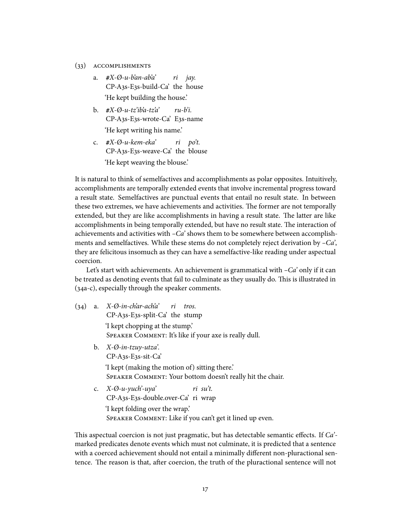- (33) accomplishments
	- a. **#**X-Ø-u-b'an-ab'a' CP-A3s-E3s-build-Ca' the house ri *iav*. 'He kept building the house.'
	- b. **#**X-Ø-u-tz'ib'a-tz'a' CP-A3s-E3s-wrote-Ca' E3s-name ru-b'i. 'He kept writing his name.'
	- c. **#**X-Ø-u-kem-eka' CP-A3s-E3s-weave-Ca' the blouse ri po't. 'He kept weaving the blouse.'

It is natural to think of semelfactives and accomplishments as polar opposites. Intuitively, accomplishments are temporally extended events that involve incremental progress toward a result state. Semelfactives are punctual events that entail no result state. In between these two extremes, we have achievements and activities. The former are not temporally extended, but they are like accomplishments in having a result state. The latter are like accomplishments in being temporally extended, but have no result state. The interaction of achievements and activities with  $-Ca$  shows them to be somewhere between accomplishments and semelfactives. While these stems do not completely reject derivation by  $-Ca'$ , they are felicitous insomuch as they can have a semelfactive-like reading under aspectual coercion.

Let's start with achievements. An achievement is grammatical with  $-Ca'$  only if it can be treated as denoting events that fail to culminate as they usually do. This is illustrated in (34a-c), especially through the speaker comments.

- (34) a. X-Ø-in-ch'ar-ach'a' CP-A3s-E3s-split-Ca' the stump ri tros. 'I kept chopping at the stump.' SPEAKER COMMENT: It's like if your axe is really dull.
	- b. X-Ø-in-tzuy-utza'. CP-A3s-E3s-sit-Ca' 'I kept (making the motion of) sitting there.' Speaker Comment: Your bottom doesn't really hit the chair.
	- c.  $X \emptyset u y \infty$ ' CP-A3s-E3s-double.over-Ca' ri wrap ri su't. 'I kept folding over the wrap.' Speaker Comment: Like if you can't get it lined up even.

This aspectual coercion is not just pragmatic, but has detectable semantic effects. If  $Ca<sup>2</sup>$ marked predicates denote events which must not culminate, it is predicted that a sentence with a coerced achievement should not entail a minimally different non-pluractional sentence. The reason is that, after coercion, the truth of the pluractional sentence will not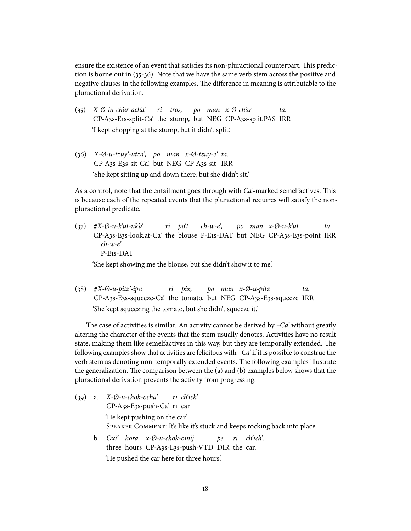ensure the existence of an event that satisfies its non-pluractional counterpart. This prediction is borne out in (35-36). Note that we have the same verb stem across the positive and negative clauses in the following examples. The difference in meaning is attributable to the pluractional derivation.

- (35) X-Ø-in-ch'ar-ach'a' CP-A3s-E1s-split-Ca' the stump, but NEG CP-A3s-split.PAS IRR ri tros, po man x-Ø-ch'ar ta. 'I kept chopping at the stump, but it didn't split.'
- $(36)$   $X-\emptyset$ -u-tzuv'-utza', po man x- $\emptyset$ -tzuv-e' ta. CP-A3s-E3s-sit-Ca', but NEG CP-A3s-sit IRR 'She kept sitting up and down there, but she didn't sit.'

As a control, note that the entailment goes through with  $Ca<sup>2</sup>$ -marked semelfactives. This is because each of the repeated events that the pluractional requires will satisfy the nonpluractional predicate.

(37) **#**X-Ø-u-k'ut-uk'a' CP-A3s-E3s-look.at-Ca' the blouse P-E1s-DAT but NEG CP-A3s-E3s-point IRR ri po't  $ch-w-e'$ , po man x-Ø-u-k'ut ta  $ch-w-e$ <sup>'</sup>. P-E1s-DAT

'She kept showing me the blouse, but she didn't show it to me.'

(38) **#**X-Ø-u-pitz'-ipa' CP-A3s-E3s-squeeze-Ca' the tomato, but NEG CP-A3s-E3s-squeeze IRR ri pix, po man x-Ø-u-pitz' ta. 'She kept squeezing the tomato, but she didn't squeeze it.'

The case of activities is similar. An activity cannot be derived by  $-Ca'$  without greatly altering the character of the events that the stem usually denotes. Activities have no result state, making them like semelfactives in this way, but they are temporally extended. The following examples show that activities are felicitous with  $-Ca'$  if it is possible to construe the verb stem as denoting non-temporally extended events. The following examples illustrate the generalization. The comparison between the (a) and (b) examples below shows that the pluractional derivation prevents the activity from progressing.

| (39) | a. X-Ø-u-chok-ocha' ri ch'ich'.                                          |
|------|--------------------------------------------------------------------------|
|      | CP-A3s-E3s-push-Ca' ri car                                               |
|      | 'He kept pushing on the car.'                                            |
|      | SPEAKER COMMENT: It's like it's stuck and keeps rocking back into place. |
|      | b. $Oxi'$ hora $x - \emptyset$ -u-chok-omij pe ri ch'ich'.               |
|      | three hours CP-A3s-E3s-push-VTD DIR the car.                             |
|      | 'He pushed the car here for three hours.'                                |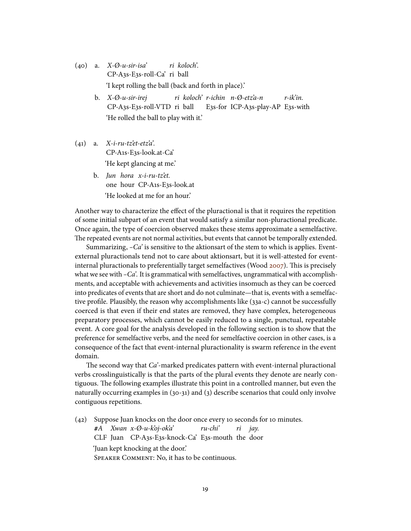- $(40)$  a.  $X \emptyset$ -u-sir-isa' CP-A3s-E3s-roll-Ca' ri ball ri koloch'. 'I kept rolling the ball (back and forth in place).'
	- b. X-Ø-u-sir-irej CP-A3s-E3s-roll-VTD ri ball ri koloch' r-ichin n-Ø-etz'a-n E3s-for ICP-A3s-play-AP E3s-with r-ik'in. 'He rolled the ball to play with it.'
- $(41)$  a. X-i-ru-tz'et-etz'a'. CP-A1s-E3s-look.at-Ca' 'He kept glancing at me.'
	- b. Jun hora x-i-ru-tz'et. one hour CP-A1s-E3s-look.at 'He looked at me for an hour.'

Another way to characterize the effect of the pluractional is that it requires the repetition of some initial subpart of an event that would satisfy a similar non-pluractional predicate. Once again, the type of coercion observed makes these stems approximate a semelfactive. The repeated events are not normal activities, but events that cannot be temporally extended.

Summarizing,  $-Ca'$  is sensitive to the aktionsart of the stem to which is applies. Eventexternal pluractionals tend not to care about aktionsart, but it is well-attested for event-internal pluractionals to preferentially target semelfactives (Wood [2007\)](#page-39-0). This is precisely what we see with  $-Ca'$ . It is grammatical with semelfactives, ungrammatical with accomplishments, and acceptable with achievements and activities insomuch as they can be coerced into predicates of events that are short and do not culminate—that is, events with a semelfactive profile. Plausibly, the reason why accomplishments like (33a-c) cannot be successfully coerced is that even if their end states are removed, they have complex, heterogeneous preparatory processes, which cannot be easily reduced to a single, punctual, repeatable event. A core goal for the analysis developed in the following section is to show that the preference for semelfactive verbs, and the need for semelfactive coercion in other cases, is a consequence of the fact that event-internal pluractionality is swarm reference in the event domain.

The second way that  $Ca<sup>2</sup>$ -marked predicates pattern with event-internal pluractional verbs crosslinguistically is that the parts of the plural events they denote are nearly contiguous. The following examples illustrate this point in a controlled manner, but even the naturally occurring examples in (30-31) and (3) describe scenarios that could only involve contiguous repetitions.

(42) Suppose Juan knocks on the door once every 10 seconds for 10 minutes. **#**A Xwan x-Ø-u-k'oj-ok'a' CLF Juan CP-A3s-E3s-knock-Ca' E3s-mouth the door ru-chi' ri *iav*. 'Juan kept knocking at the door.' Speaker Comment: No, it has to be continuous.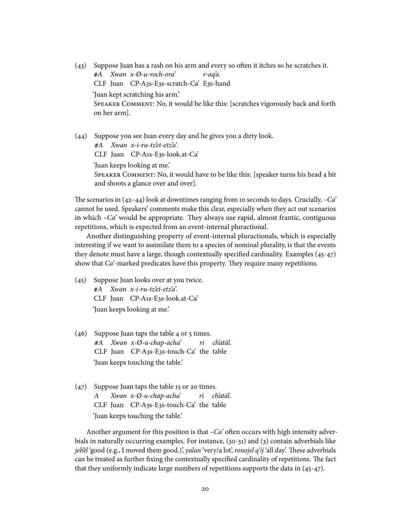(43) Suppose Juan has a rash on his arm and every so often it itches so he scratches it. **#**A Xwan x-Ø-u-roch-ora' CLF Juan CP-A3s-E3s-scratch-Ca' E3s-hand r-aq'a. 'Juan kept scratching his arm.' Speaker Comment: No, it would be like this: [scratches vigorously back and forth on her arm].

(44) Suppose you see Juan every day and he gives you a dirty look. **#**A Xwan x-i-ru-tz'et-etz'a'. CLF Juan CP-A1s-E3s-look.at-Ca' 'Juan keeps looking at me.' Speaker Comment: No, it would have to be like this: [speaker turns his head a bit and shoots a glance over and over].

The scenarios in  $(42-44)$  look at downtimes ranging from 10 seconds to days. Crucially,  $-Ca$ cannot be used. Speakers' comments make this clear, especially when they act out scenarios in which  $-Ca'$  would be appropriate. They always use rapid, almost frantic, contiguous repetitions, which is expected from an event-internal pluractional.

Another distinguishing property of event-internal pluractionals, which is especially interesting if we want to assimilate them to a species of nominal plurality, is that the events they denote must have a large, though contextually specified cardinality. Examples  $(45-47)$ show that  $Ca<sup>2</sup>$ -marked predicates have this property. They require many repetitions.

- (45) Suppose Juan looks over at you twice. **#**A Xwan x-i-ru-tz'et-etz'a'. CLF Juan CP-A1s-E3s-look.at-Ca' 'Juan keeps looking at me.'
- (46) Suppose Juan taps the table 4 or 5 times. **#**A Xwan x-Ø-u-chap-acha' CLF Juan CP-A3s-E3s-touch-Ca' the table ri ch'atäl. 'Juan keeps touching the table.'
- (47) Suppose Juan taps the table 15 or 20 times. A CLF Juan CP-A3s-E3s-touch-Ca' the table Xwan x-Ø-u-chap-acha' ri ch'atäl. 'Juan keeps touching the table.'

Another argument for this position is that  $-Ca'$  often occurs with high intensity adverbials in naturally occurring examples. For instance, (30-31) and (3) contain adverbials like jebël 'good (e.g., I moved them good.)', yalan 'very/a lot', ronojel q'ij 'all day'. These adverbials can be treated as further fixing the contextually specified cardinality of repetitions. The fact that they uniformly indicate large numbers of repetitions supports the data in (45-47).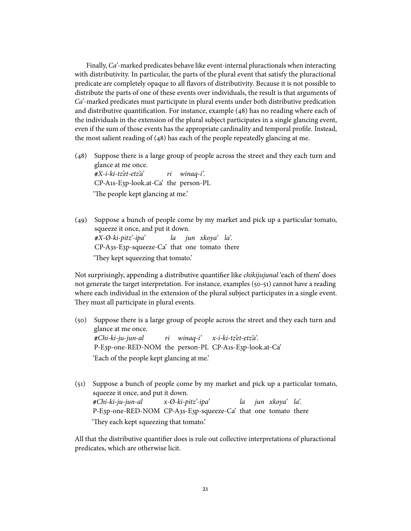Finally, Ca'-marked predicates behave like event-internal pluractionals when interacting with distributivity. In particular, the parts of the plural event that satisfy the pluractional predicate are completely opaque to all avors of distributivity. Because it is not possible to distribute the parts of one of these events over individuals, the result is that arguments of Ca'-marked predicates must participate in plural events under both distributive predication and distributive quantification. For instance, example  $(48)$  has no reading where each of the individuals in the extension of the plural subject participates in a single glancing event, even if the sum of those events has the appropriate cardinality and temporal profile. Instead, the most salient reading of (48) has each of the people repeatedly glancing at me.

- (48) Suppose there is a large group of people across the street and they each turn and glance at me once. **#**X-i-ki-tz'et-etz'a' CP-A1s-E3p-look.at-Ca' the person-PL ri winaq-i'. 'The people kept glancing at me.'
- (49) Suppose a bunch of people come by my market and pick up a particular tomato, squeeze it once, and put it down. **#**X-Ø-ki-pitz'-ipa' CP-A3s-E3p-squeeze-Ca' that one tomato there la jun xkoya' la'. 'They kept squeezing that tomato.'

Not surprisingly, appending a distributive quantifier like *chikijujunal* 'each of them' does not generate the target interpretation. For instance, examples (50-51) cannot have a reading where each individual in the extension of the plural subject participates in a single event. They must all participate in plural events.

- (50) Suppose there is a large group of people across the street and they each turn and glance at me once. **#**Chi-ki-ju-jun-al P-E3p-one-RED-NOM the person-PL CP-A1s-E3p-look.at-Ca' ri winaq-i' x-i-ki-tz'et-etz'a'. 'Each of the people kept glancing at me.'
- (51) Suppose a bunch of people come by my market and pick up a particular tomato, squeeze it once, and put it down. **#**Chi-ki-ju-jun-al P-E3p-one-RED-NOM CP-A3s-E3p-squeeze-Ca' that one tomato there x-Ø-ki-pitz'-ipa' la jun xkoya' la'. 'They each kept squeezing that tomato.'

All that the distributive quantifier does is rule out collective interpretations of pluractional predicates, which are otherwise licit.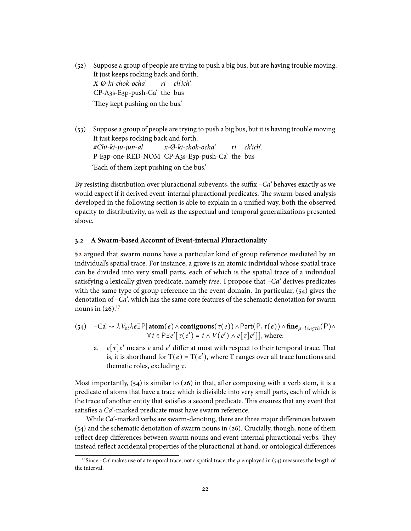- (52) Suppose a group of people are trying to push a big bus, but are having trouble moving. It just keeps rocking back and forth. X-Ø-ki-chok-ocha' CP-A3s-E3p-push-Ca' the bus ri ch'ich'. 'They kept pushing on the bus.'
- (53) Suppose a group of people are trying to push a big bus, but it is having trouble moving. It just keeps rocking back and forth. **#**Chi-ki-ju-jun-al P-E3p-one-RED-NOM CP-A3s-E3p-push-Ca' the bus x-Ø-ki-chok-ocha' ri ch'ich'. 'Each of them kept pushing on the bus.'

By resisting distribution over pluractional subevents, the suffix  $-Ca$ ' behaves exactly as we would expect if it derived event-internal pluractional predicates. The swarm-based analysis developed in the following section is able to explain in a unified way, both the observed opacity to distributivity, as well as the aspectual and temporal generalizations presented above.

#### <span id="page-21-1"></span>**3.2 A Swarm-based Account of Event-internal Pluractionality**

[§2](#page-3-0) argued that swarm nouns have a particular kind of group reference mediated by an individual's spatial trace. For instance, a grove is an atomic individual whose spatial trace can be divided into very small parts, each of which is the spatial trace of a individual satisfying a lexically given predicate, namely *tree*. I propose that  $-Ca'$  derives predicates with the same type of group reference in the event domain. In particular, (54) gives the denotation of –Ca', which has the same core features of the schematic denotation for swarm nouns in  $(26).^{17}$  $(26).^{17}$  $(26).^{17}$ 

(54) 
$$
-Ca^{\prime} \rightsquigarrow \lambda V_{et} \lambda e \exists P[\text{atom}(e) \land \text{contiguous}(\tau(e)) \land Part(P, \tau(e)) \land \text{fine}_{\mu = length}(P) \land \forall t \in P \exists e' [\tau(e') = t \land V(e') \land e[\tau]e']], \text{ where:}
$$

a.  $e[\tau]e'$  means  $e$  and  $e'$  differ at most with respect to their temporal trace. That is, it is shorthand for T(e) = T(e'), where T ranges over all trace functions and thematic roles, excluding  $\tau$ .

Most importantly,  $(54)$  is similar to  $(26)$  in that, after composing with a verb stem, it is a predicate of atoms that have a trace which is divisible into very small parts, each of which is the trace of another entity that satisfies a second predicate. This ensures that any event that satisfies a Ca'-marked predicate must have swarm reference.

While  $Ca<sup>2</sup>$ -marked verbs are swarm-denoting, there are three major differences between (54) and the schematic denotation of swarm nouns in (26). Crucially, though, none of them reflect deep differences between swarm nouns and event-internal pluractional verbs. They instead reflect accidental properties of the pluractional at hand, or ontological differences

<span id="page-21-0"></span><sup>&</sup>lt;sup>17</sup>Since –Ca' makes use of a temporal trace, not a spatial trace, the  $\mu$  employed in (54) measures the length of the interval.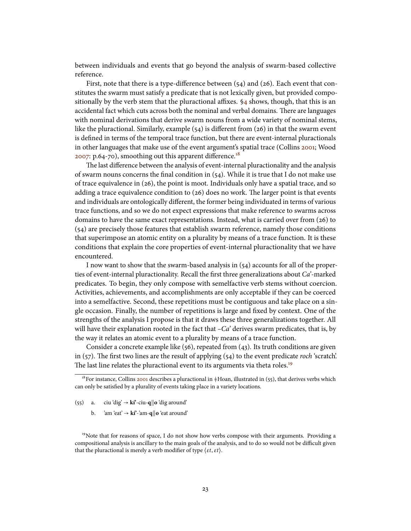between individuals and events that go beyond the analysis of swarm-based collective reference.

First, note that there is a type-difference between  $(54)$  and  $(26)$ . Each event that constitutes the swarm must satisfy a predicate that is not lexically given, but provided compositionally by the verb stem that the pluractional affixes.  $\frac{6}{4}$  shows, though, that this is an accidental fact which cuts across both the nominal and verbal domains. There are languages with nominal derivations that derive swarm nouns from a wide variety of nominal stems, like the pluractional. Similarly, example  $(54)$  is different from  $(26)$  in that the swarm event is defined in terms of the temporal trace function, but there are event-internal pluractionals in other languages that make use of the event argument's spatial trace (Collins [2001;](#page-37-8) Wood [2007:](#page-39-0) p.64-70), smoothing out this apparent difference.<sup>[18](#page-22-0)</sup>

The last difference between the analysis of event-internal pluractionality and the analysis of swarm nouns concerns the final condition in (54). While it is true that I do not make use of trace equivalence in (26), the point is moot. Individuals only have a spatial trace, and so adding a trace equivalence condition to  $(26)$  does no work. The larger point is that events and individuals are ontologically different, the former being individuated in terms of various trace functions, and so we do not expect expressions that make reference to swarms across domains to have the same exact representations. Instead, what is carried over from (26) to (54) are precisely those features that establish swarm reference, namely those conditions that superimpose an atomic entity on a plurality by means of a trace function. It is these conditions that explain the core properties of event-internal pluractionality that we have encountered.

I now want to show that the swarm-based analysis in  $(54)$  accounts for all of the properties of event-internal pluractionality. Recall the first three generalizations about  $Ca<sup>2</sup>$ -marked predicates. To begin, they only compose with semelfactive verb stems without coercion. Activities, achievements, and accomplishments are only acceptable if they can be coerced into a semelfactive. Second, these repetitions must be contiguous and take place on a single occasion. Finally, the number of repetitions is large and fixed by context. One of the strengths of the analysis I propose is that it draws these three generalizations together. All will have their explanation rooted in the fact that  $-Ca$  derives swarm predicates, that is, by the way it relates an atomic event to a plurality by means of a trace function.

Consider a concrete example like (56), repeated from (43). Its truth conditions are given in  $(57)$ . The first two lines are the result of applying  $(54)$  to the event predicate roch 'scratch'. The last line relates the pluractional event to its arguments via theta roles.<sup>[19](#page-22-1)</sup>

<span id="page-22-1"></span><sup>19</sup>Note that for reasons of space, I do not show how verbs compose with their arguments. Providing a compositional analysis is ancillary to the main goals of the analysis, and to do so would not be difficult given that the pluractional is merely a verb modifier of type  $\langle \varepsilon t, \varepsilon t \rangle$ .

<span id="page-22-0"></span><sup>&</sup>lt;sup>18</sup>For instance, Collins [2001](#page-37-8) describes a pluractional in  $#$ Hoan, illustrated in (55), that derives verbs which can only be satisfied by a plurality of events taking place in a variety locations.

<sup>(55)</sup> a. ciu 'dig'  $\rightarrow$  **kí'**-ciu-**q**||**o** 'dig around'

b. 'am 'eat'  $\rightarrow$   $k$ f'-'am-**q**||**o** 'eat around'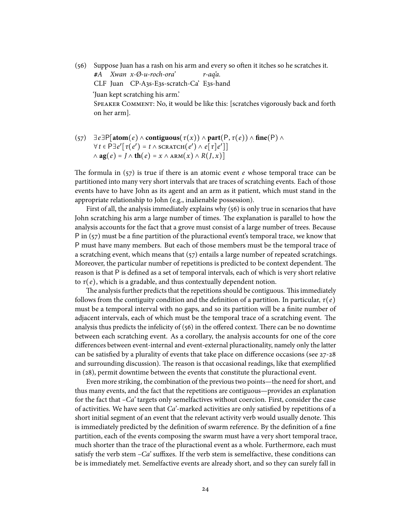- (56) Suppose Juan has a rash on his arm and every so often it itches so he scratches it. **#**A Xwan x-Ø-u-roch-ora' CLF Juan CP-A3s-E3s-scratch-Ca' E3s-hand r-aq'a. 'Juan kept scratching his arm.' Speaker Comment: No, it would be like this: [scratches vigorously back and forth on her arm].
- $\exists e \exists P[\text{atom}(e) \land \text{contiguous}(\tau(x)) \land \text{part}(P, \tau(e)) \land \text{fine}(P) \land \theta$  $\forall t \in \overline{P} \exists e' [\tau(e') = t \land \overline{scar}(\overline{e'}) \land e[\tau]e']$  $\wedge$  **ag**(e) =  $J \wedge$  **th**(e) =  $x \wedge$  ARM( $x$ )  $\wedge$   $R(J, x)$ ]

The formula in  $(57)$  is true if there is an atomic event e whose temporal trace can be partitioned into many very short intervals that are traces of scratching events. Each of those events have to have John as its agent and an arm as it patient, which must stand in the appropriate relationship to John (e.g., inalienable possession).

First of all, the analysis immediately explains why (56) is only true in scenarios that have John scratching his arm a large number of times. The explanation is parallel to how the analysis accounts for the fact that a grove must consist of a large number of trees. Because P in  $(57)$  must be a fine partition of the pluractional event's temporal trace, we know that P must have many members. But each of those members must be the temporal trace of a scratching event, which means that (57) entails a large number of repeated scratchings. Moreover, the particular number of repetitions is predicted to be context dependent. The reason is that P is defined as a set of temporal intervals, each of which is very short relative to  $\tau(e)$ , which is a gradable, and thus contextually dependent notion.

The analysis further predicts that the repetitions should be contiguous. This immediately follows from the contiguity condition and the definition of a partition. In particular,  $\tau(e)$ must be a temporal interval with no gaps, and so its partition will be a finite number of adjacent intervals, each of which must be the temporal trace of a scratching event. The analysis thus predicts the infelicity of  $(56)$  in the offered context. There can be no downtime between each scratching event. As a corollary, the analysis accounts for one of the core differences between event-internal and event-external pluractionality, namely only the latter can be satisfied by a plurality of events that take place on difference occasions (see  $27-28$ ) and surrounding discussion). The reason is that occasional readings, like that exemplified in (28), permit downtime between the events that constitute the pluractional event.

Even more striking, the combination of the previous two points—the need for short, and thus many events, and the fact that the repetitions are contiguous—provides an explanation for the fact that  $-Ca$ ' targets only semelfactives without coercion. First, consider the case of activities. We have seen that  $Ca<sup>2</sup>$ -marked activities are only satisfied by repetitions of a short initial segment of an event that the relevant activity verb would usually denote. This is immediately predicted by the definition of swarm reference. By the definition of a fine partition, each of the events composing the swarm must have a very short temporal trace, much shorter than the trace of the pluractional event as a whole. Furthermore, each must satisfy the verb stem  $-Ca$ ' suffixes. If the verb stem is semelfactive, these conditions can be is immediately met. Semelfactive events are already short, and so they can surely fall in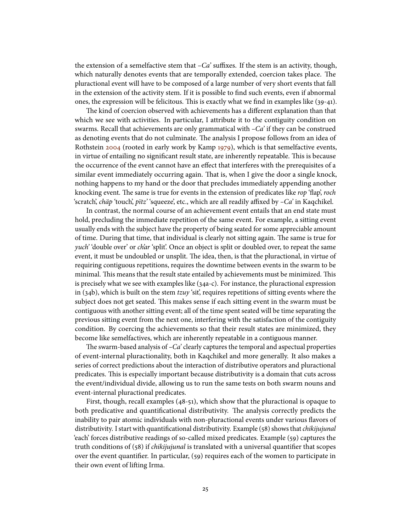the extension of a semelfactive stem that  $-Ca$ ' suffixes. If the stem is an activity, though, which naturally denotes events that are temporally extended, coercion takes place. The pluractional event will have to be composed of a large number of very short events that fall in the extension of the activity stem. If it is possible to find such events, even if abnormal ones, the expression will be felicitous. This is exactly what we find in examples like  $(39-41)$ .

The kind of coercion observed with achievements has a different explanation than that which we see with activities. In particular, I attribute it to the contiguity condition on swarms. Recall that achievements are only grammatical with  $-Ca^2$  if they can be construed as denoting events that do not culminate. The analysis I propose follows from an idea of Rothstein [2004](#page-39-1) (rooted in early work by Kamp [1979\)](#page-38-12), which is that semelfactive events, in virtue of entailing no significant result state, are inherently repeatable. This is because the occurrence of the event cannot have an effect that interferes with the prerequisites of a similar event immediately occurring again. That is, when I give the door a single knock, nothing happens to my hand or the door that precludes immediately appending another knocking event. The same is true for events in the extension of predicates like rop 'flap', roch 'scratch', *chäp* 'touch', *pïtz*' 'squeeze', etc., which are all readily affixed by  $-Ca$ ' in Kaqchikel.

In contrast, the normal course of an achievement event entails that an end state must hold, precluding the immediate repetition of the same event. For example, a sitting event usually ends with the subject have the property of being seated for some appreciable amount of time. During that time, that individual is clearly not sitting again. The same is true for yuch' 'double over' or ch'ar 'split'. Once an object is split or doubled over, to repeat the same event, it must be undoubled or unsplit. The idea, then, is that the pluractional, in virtue of requiring contiguous repetitions, requires the downtime between events in the swarm to be minimal. This means that the result state entailed by achievements must be minimized. This is precisely what we see with examples like (34a-c). For instance, the pluractional expression in (34b), which is built on the stem  $tzuy$  'sit', requires repetitions of sitting events where the subject does not get seated. This makes sense if each sitting event in the swarm must be contiguous with another sitting event; all of the time spent seated will be time separating the previous sitting event from the next one, interfering with the satisfaction of the contiguity condition. By coercing the achievements so that their result states are minimized, they become like semelfactives, which are inherently repeatable in a contiguous manner.

The swarm-based analysis of  $-Ca'$  clearly captures the temporal and aspectual properties of event-internal pluractionality, both in Kaqchikel and more generally. It also makes a series of correct predictions about the interaction of distributive operators and pluractional predicates. This is especially important because distributivity is a domain that cuts across the event/individual divide, allowing us to run the same tests on both swarm nouns and event-internal pluractional predicates.

First, though, recall examples (48-51), which show that the pluractional is opaque to both predicative and quantificational distributivity. The analysis correctly predicts the inability to pair atomic individuals with non-pluractional events under various flavors of distributivity. I start with quantificational distributivity. Example (58) shows that chikijujunal 'each' forces distributive readings of so-called mixed predicates. Example (59) captures the truth conditions of (58) if *chikijujunal* is translated with a universal quantifier that scopes over the event quantifier. In particular, (59) requires each of the women to participate in their own event of lifting Irma.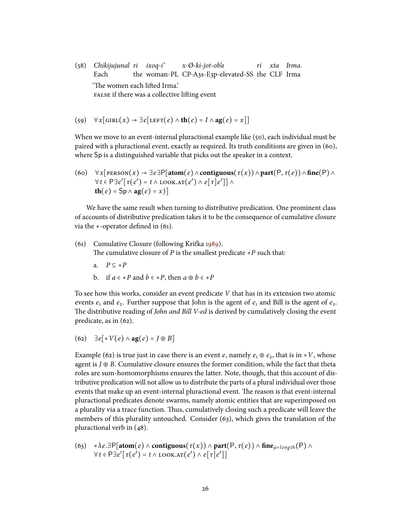(58) Chikijujunal ri ixoq-i' Each the woman-PL CP-A3s-E3p-elevated-SS the CLF Irma x-Ø-ki-jot-ob'a ri xta Irma. 'The women each lifted Irma.' FALSE if there was a collective lifting event

(59)  $\forall x$ [GIRL(x)  $\rightarrow \exists e$ [LEFT(e)  $\land$  **th**(e) = I  $\land$  **ag**(e) = x]]

When we move to an event-internal pluractional example like (50), each individual must be paired with a pluractional event, exactly as required. Its truth conditions are given in (60), where Sp is a distinguished variable that picks out the speaker in a context.

(60) 
$$
\forall x
$$
[PERSON( $x$ )  $\rightarrow \exists e \exists P$ [atom( $e$ )  $\land$  **contiguous**( $\tau(x)$ )  $\land$  part(P,  $\tau(e)$ )  $\land$  fine(P)  $\land$   
 $\forall t \in P \exists e' [\tau(e') = t \land \text{LOOK.AT}(e') \land e[\tau]e'] \land$   
**th**( $e$ ) = Sp  $\land$  ag( $e$ ) =  $x$ )]

We have the same result when turning to distributive predication. One prominent class of accounts of distributive predication takes it to be the consequence of cumulative closure via the  $\ast$ -operator defined in (61).

- (61) Cumulative Closure (following Krifka [1989\)](#page-38-0). The cumulative closure of P is the smallest predicate  $\ast P$  such that:
	- a.  $P \subseteq *P$
	- b. if  $a \in \ast P$  and  $b \in \ast P$ , then  $a \oplus b \in \ast P$

To see how this works, consider an event predicate V that has in its extension two atomic events  $e_1$  and  $e_2$ . Further suppose that John is the agent of  $e_1$  and Bill is the agent of  $e_2$ . The distributive reading of John and Bill V-ed is derived by cumulatively closing the event predicate, as in (62).

$$
(62) \quad \exists e [ *V(e) \land \mathbf{ag}(e) = J \oplus B]
$$

Example (62) is true just in case there is an event e, namely  $e_1 \oplus e_2$ , that is in ∗V, whose agent is  $J \oplus B$ . Cumulative closure ensures the former condition, while the fact that theta roles are sum-homomorphisms ensures the latter. Note, though, that this account of distributive predication will not allow us to distribute the parts of a plural individual over those events that make up an event-internal pluractional event. The reason is that event-internal pluractional predicates denote swarms, namely atomic entities that are superimposed on a plurality via a trace function. Thus, cumulatively closing such a predicate will leave the members of this plurality untouched. Consider (63), which gives the translation of the pluractional verb in (48).

(63) ∗λe.∃P[atom(e) ∧ **contiguous**( $\tau(x)$ ) ∧ **part**(P,  $\tau(e)$ ) ∧ **fine**<sub>*u=length*</sub>(P) ∧  $\forall t \in \mathsf{P}\exists e' [\tau(e') = t \land \text{LOOK.AT}(e') \land e[\tau]e']$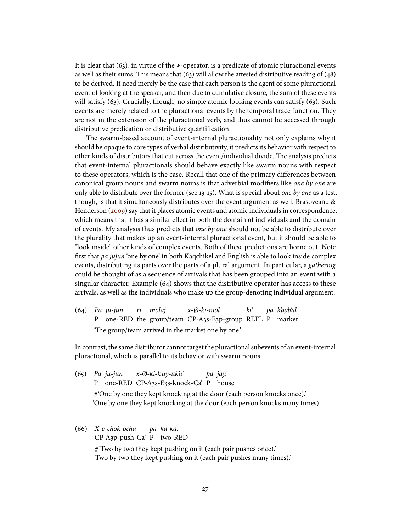It is clear that (63), in virtue of the ∗-operator, is a predicate of atomic pluractional events as well as their sums. This means that  $(63)$  will allow the attested distributive reading of  $(48)$ to be derived. It need merely be the case that each person is the agent of some pluractional event of looking at the speaker, and then due to cumulative closure, the sum of these events will satisfy (63). Crucially, though, no simple atomic looking events can satisfy (63). Such events are merely related to the pluractional events by the temporal trace function. They are not in the extension of the pluractional verb, and thus cannot be accessed through distributive predication or distributive quantification.

The swarm-based account of event-internal pluractionality not only explains why it should be opaque to core types of verbal distributivity, it predicts its behavior with respect to other kinds of distributors that cut across the event/individual divide. The analysis predicts that event-internal pluractionals should behave exactly like swarm nouns with respect to these operators, which is the case. Recall that one of the primary differences between canonical group nouns and swarm nouns is that adverbial modifiers like one by one are only able to distribute over the former (see 13-15). What is special about one by one as a test, though, is that it simultaneously distributes over the event argument as well. Brasoveanu & Henderson [\(2009\)](#page-37-4) say that it places atomic events and atomic individuals in correspondence, which means that it has a similar effect in both the domain of individuals and the domain of events. My analysis thus predicts that one by one should not be able to distribute over the plurality that makes up an event-internal pluractional event, but it should be able to "look inside" other kinds of complex events. Both of these predictions are borne out. Note first that  $pa$  *jujun* 'one by one' in both Kaqchikel and English is able to look inside complex events, distributing its parts over the parts of a plural argument. In particular, a gathering could be thought of as a sequence of arrivals that has been grouped into an event with a singular character. Example  $(64)$  shows that the distributive operator has access to these arrivals, as well as the individuals who make up the group-denoting individual argument.

 $(64)$  Pa iu-iun P one-RED the group/team CP-A3s-E3p-group REFL P market ri moläj x-Ø-ki-mol ki' pa k'ayb'äl. 'The group/team arrived in the market one by one.'

In contrast, the same distributor cannot target the pluractional subevents of an event-internal pluractional, which is parallel to its behavior with swarm nouns.

- (65) Pa ju-jun P one-RED CP-A3s-E3s-knock-Ca' P house x-Ø-ki-k'uy-uk'a' pa jay. **#**'One by one they kept knocking at the door (each person knocks once).' 'One by one they kept knocking at the door (each person knocks many times).
- (66) X-e-chok-ocha CP-A3p-push-Ca' P two-RED pa ka-ka. **#**'Two by two they kept pushing on it (each pair pushes once).' 'Two by two they kept pushing on it (each pair pushes many times).'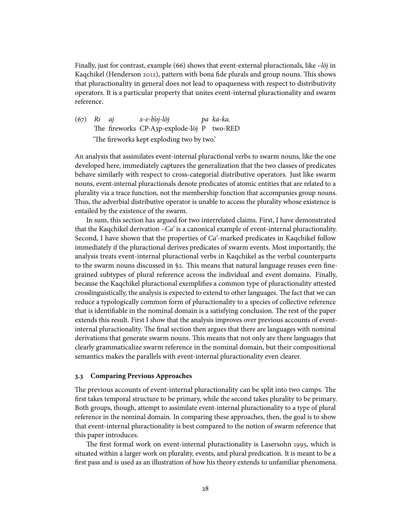Finally, just for contrast, example (66) shows that event-external pluractionals, like  $-l\ddot{o}j$  in Kaqchikel (Henderson [2012\)](#page-37-9), pattern with bona fide plurals and group nouns. This shows that pluractionality in general does not lead to opaqueness with respect to distributivity operators. It is a particular property that unites event-internal pluractionality and swarm reference.

(67) Ri aj The fireworks CP-A3p-explode-löj P two-RED x-e-b'oj-löj pa ka-ka. 'The fireworks kept exploding two by two.'

An analysis that assimilates event-internal pluractional verbs to swarm nouns, like the one developed here, immediately captures the generalization that the two classes of predicates behave similarly with respect to cross-categorial distributive operators. Just like swarm nouns, event-internal pluractionals denote predicates of atomic entities that are related to a plurality via a trace function, not the membership function that accompanies group nouns. Thus, the adverbial distributive operator is unable to access the plurality whose existence is entailed by the existence of the swarm.

In sum, this section has argued for two interrelated claims. First, I have demonstrated that the Kaqchikel derivation  $-Ca$  is a canonical example of event-internal pluractionality. Second, I have shown that the properties of  $Ca<sup>2</sup>$ -marked predicates in Kaqchikel follow immediately if the pluractional derives predicates of swarm events. Most importantly, the analysis treats event-internal pluractional verbs in Kaqchikel as the verbal counterparts to the swarm nouns discussed in  $\S$ 2. This means that natural language reuses even finegrained subtypes of plural reference across the individual and event domains. Finally, because the Kaqchikel pluractional exemplies a common type of pluractionality attested crosslinguistically, the analysis is expected to extend to other languages. The fact that we can reduce a typologically common form of pluractionality to a species of collective reference that is identifiable in the nominal domain is a satisfying conclusion. The rest of the paper extends this result. First I show that the analysis improves over previous accounts of eventinternal pluractionality. The final section then argues that there are languages with nominal derivations that generate swarm nouns. This means that not only are there languages that clearly grammaticalize swarm reference in the nominal domain, but their compositional semantics makes the parallels with event-internal pluractionality even clearer.

### **3.3 Comparing Previous Approaches**

The previous accounts of event-internal pluractionality can be split into two camps. The first takes temporal structure to be primary, while the second takes plurality to be primary. Both groups, though, attempt to assimilate event-internal pluractionality to a type of plural reference in the nominal domain. In comparing these approaches, then, the goal is to show that event-internal pluractionality is best compared to the notion of swarm reference that this paper introduces.

The first formal work on event-internal pluractionality is Lasersohn [1995,](#page-38-3) which is situated within a larger work on plurality, events, and plural predication. It is meant to be a first pass and is used as an illustration of how his theory extends to unfamiliar phenomena.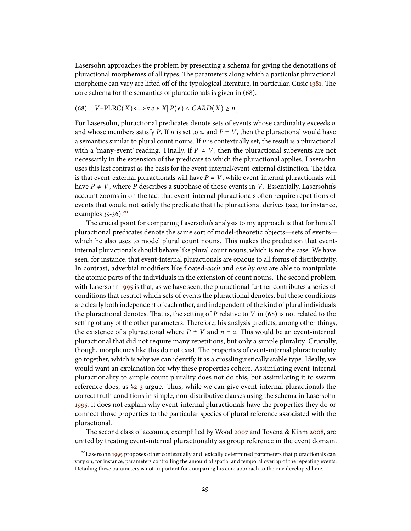Lasersohn approaches the problem by presenting a schema for giving the denotations of pluractional morphemes of all types. The parameters along which a particular pluractional morpheme can vary are lifted off of the typological literature, in particular, Cusic [1981.](#page-37-0) The core schema for the semantics of pluractionals is given in (68).

(68) 
$$
V-PLRC(X) \Longleftrightarrow \forall e \in X[P(e) \land CARD(X) \geq n]
$$

For Lasersohn, pluractional predicates denote sets of events whose cardinality exceeds  $n$ and whose members satisfy P. If n is set to 2, and  $P = V$ , then the pluractional would have a semantics similar to plural count nouns. If  $n$  is contextually set, the result is a pluractional with a 'many-event' reading. Finally, if  $P \neq V$ , then the pluractional subevents are not necessarily in the extension of the predicate to which the pluractional applies. Lasersohn uses this last contrast as the basis for the event-internal/event-external distinction. The idea is that event-external pluractionals will have  $P = V$ , while event-internal pluractionals will have  $P \neq V$ , where P describes a subphase of those events in V. Essentially, Lasersohn's account zooms in on the fact that event-internal pluractionals often require repetitions of events that would not satisfy the predicate that the pluractional derives (see, for instance, examples  $35-36$ ).<sup>[20](#page-28-0)</sup>

The crucial point for comparing Lasersohn's analysis to my approach is that for him all pluractional predicates denote the same sort of model-theoretic objects—sets of events which he also uses to model plural count nouns. This makes the prediction that eventinternal pluractionals should behave like plural count nouns, which is not the case. We have seen, for instance, that event-internal pluractionals are opaque to all forms of distributivity. In contrast, adverbial modifiers like floated-each and one by one are able to manipulate the atomic parts of the individuals in the extension of count nouns. The second problem with Lasersohn [1995](#page-38-3) is that, as we have seen, the pluractional further contributes a series of conditions that restrict which sets of events the pluractional denotes, but these conditions are clearly both independent of each other, and independent of the kind of plural individuals the pluractional denotes. That is, the setting of P relative to V in  $(68)$  is not related to the setting of any of the other parameters. Therefore, his analysis predicts, among other things, the existence of a pluractional where  $P \neq V$  and  $n = 2$ . This would be an event-internal pluractional that did not require many repetitions, but only a simple plurality. Crucially, though, morphemes like this do not exist. The properties of event-internal pluractionality go together, which is why we can identify it as a crosslinguistically stable type. Ideally, we would want an explanation for why these properties cohere. Assimilating event-internal pluractionality to simple count plurality does not do this, but assimilating it to swarm reference does, as  $\S$ 2-[3](#page-14-0) argue. Thus, while we can give event-internal pluractionals the correct truth conditions in simple, non-distributive clauses using the schema in Lasersohn [1995,](#page-38-3) it does not explain why event-internal pluractionals have the properties they do or connect those properties to the particular species of plural reference associated with the pluractional.

The second class of accounts, exemplified by Wood [2007](#page-39-0) and Tovena & Kihm [2008,](#page-39-6) are united by treating event-internal pluractionality as group reference in the event domain.

<span id="page-28-0"></span><sup>&</sup>lt;sup>20</sup>Lasersohn [1995](#page-38-3) proposes other contextually and lexically determined parameters that pluractionals can vary on, for instance, parameters controlling the amount of spatial and temporal overlap of the repeating events. Detailing these parameters is not important for comparing his core approach to the one developed here.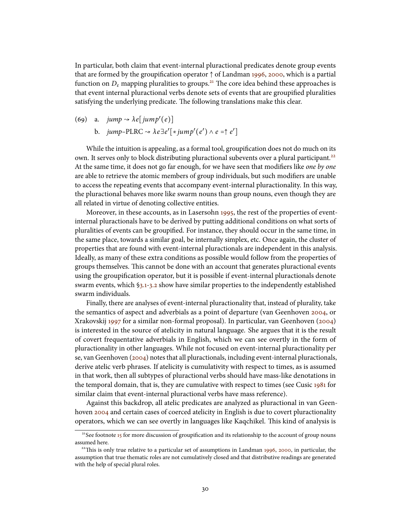In particular, both claim that event-internal pluractional predicates denote group events that are formed by the groupification operator  $\uparrow$  of Landman [1996,](#page-38-13) [2000,](#page-38-2) which is a partial function on  $D_{\varepsilon}$  mapping pluralities to groups.<sup>[21](#page-29-0)</sup> The core idea behind these approaches is that event internal pluractional verbs denote sets of events that are groupified pluralities satisfying the underlying predicate. The following translations make this clear.

(69) a. jump 
$$
\rightsquigarrow \lambda e[jump'(e)]
$$
  
b. jump-PLRC  $\rightsquigarrow \lambda e \exists e'[\ast jump'(e') \land e = \uparrow e']$ 

While the intuition is appealing, as a formal tool, groupification does not do much on its own. It serves only to block distributing pluractional subevents over a plural participant.<sup>[22](#page-29-1)</sup> At the same time, it does not go far enough, for we have seen that modifiers like one by one are able to retrieve the atomic members of group individuals, but such modifiers are unable to access the repeating events that accompany event-internal pluractionality. In this way, the pluractional behaves more like swarm nouns than group nouns, even though they are all related in virtue of denoting collective entities.

Moreover, in these accounts, as in Lasersohn [1995,](#page-38-3) the rest of the properties of eventinternal pluractionals have to be derived by putting additional conditions on what sorts of pluralities of events can be groupified. For instance, they should occur in the same time, in the same place, towards a similar goal, be internally simplex, etc. Once again, the cluster of properties that are found with event-internal pluractionals are independent in this analysis. Ideally, as many of these extra conditions as possible would follow from the properties of groups themselves. This cannot be done with an account that generates pluractional events using the groupification operator, but it is possible if event-internal pluractionals denote swarm events, which [§3.1-](#page-14-1)[3.2](#page-21-1) show have similar properties to the independently established swarm individuals.

Finally, there are analyses of event-internal pluractionality that, instead of plurality, take the semantics of aspect and adverbials as a point of departure (van Geenhoven [2004,](#page-37-10) or Xrakovskij [1997](#page-39-5) for a similar non-formal proposal). In particular, van Geenhoven [\(2004\)](#page-37-10) is interested in the source of atelicity in natural language. She argues that it is the result of covert frequentative adverbials in English, which we can see overtly in the form of pluractionality in other languages. While not focused on event-internal pluractionality per se, van Geenhoven [\(2004\)](#page-37-10) notes that all pluractionals, including event-internal pluractionals, derive atelic verb phrases. If atelicity is cumulativity with respect to times, as is assumed in that work, then all subtypes of pluractional verbs should have mass-like denotations in the temporal domain, that is, they are cumulative with respect to times (see Cusic [1981](#page-37-0) for similar claim that event-internal pluractional verbs have mass reference).

Against this backdrop, all atelic predicates are analyzed as pluractional in van Geen-hoven [2004](#page-37-10) and certain cases of coerced atelicity in English is due to covert pluractionality operators, which we can see overtly in languages like Kaqchikel. This kind of analysis is

<span id="page-29-0"></span><sup>&</sup>lt;sup>21</sup>See footnote [15](#page-12-2) for more discussion of groupification and its relationship to the account of group nouns assumed here.

<span id="page-29-1"></span><sup>&</sup>lt;sup>22</sup>This is only true relative to a particular set of assumptions in Landman [1996,](#page-38-13) [2000,](#page-38-2) in particular, the assumption that true thematic roles are not cumulatively closed and that distributive readings are generated with the help of special plural roles.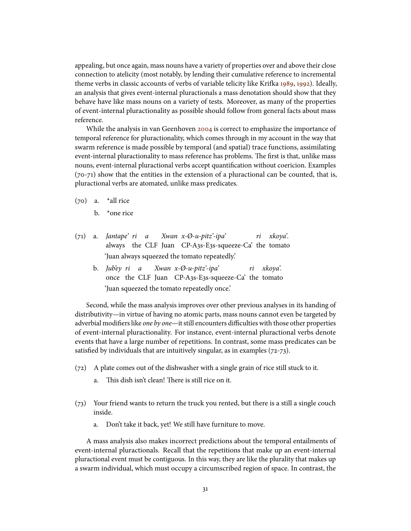appealing, but once again, mass nouns have a variety of properties over and above their close connection to atelicity (most notably, by lending their cumulative reference to incremental theme verbs in classic accounts of verbs of variable telicity like Krifka [1989,](#page-38-0) [1992\)](#page-38-1). Ideally, an analysis that gives event-internal pluractionals a mass denotation should show that they behave have like mass nouns on a variety of tests. Moreover, as many of the properties of event-internal pluractionality as possible should follow from general facts about mass reference.

While the analysis in van Geenhoven [2004](#page-37-10) is correct to emphasize the importance of temporal reference for pluractionality, which comes through in my account in the way that swarm reference is made possible by temporal (and spatial) trace functions, assimilating event-internal pluractionality to mass reference has problems. The first is that, unlike mass nouns, event-internal pluractional verbs accept quantification without coericion. Examples (70-71) show that the entities in the extension of a pluractional can be counted, that is, pluractional verbs are atomated, unlike mass predicates.

 $(70)$  a. \*all rice

 $h$  \*  $^*$ one rice

- $(71)$  a. *Iantape' ri a* always the CLF Juan CP-A3s-E3s-squeeze-Ca' the tomato Xwan x-Ø-u-pitz'-ipa' ri xkoya'. 'Juan always squeezed the tomato repeatedly.'
	- b. *Iub'ev ri a* once the CLF Juan CP-A3s-E3s-squeeze-Ca' the tomato Xwan x-Ø-u-pitz'-ipa' ri xkoya'. 'Juan squeezed the tomato repeatedly once.'

Second, while the mass analysis improves over other previous analyses in its handing of distributivity—in virtue of having no atomic parts, mass nouns cannot even be targeted by adverbial modifiers like *one by one*—it still encounters difficulties with those other properties of event-internal pluractionality. For instance, event-internal pluractional verbs denote events that have a large number of repetitions. In contrast, some mass predicates can be satisfied by individuals that are intuitively singular, as in examples  $(72-73)$ .

- (72) A plate comes out of the dishwasher with a single grain of rice still stuck to it.
	- a. This dish isn't clean! There is still rice on it.
- (73) Your friend wants to return the truck you rented, but there is a still a single couch inside.
	- a. Don't take it back, yet! We still have furniture to move.

A mass analysis also makes incorrect predictions about the temporal entailments of event-internal pluractionals. Recall that the repetitions that make up an event-internal pluractional event must be contiguous. In this way, they are like the plurality that makes up a swarm individual, which must occupy a circumscribed region of space. In contrast, the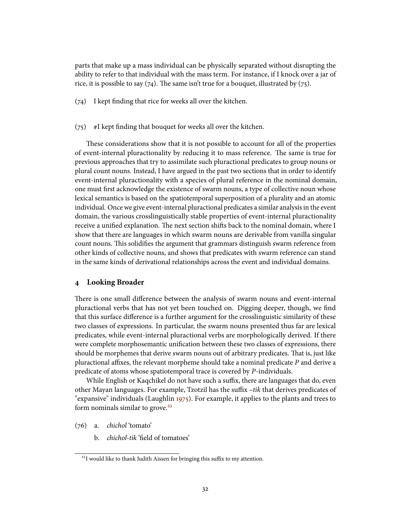parts that make up a mass individual can be physically separated without disrupting the ability to refer to that individual with the mass term. For instance, if I knock over a jar of rice, it is possible to say  $(74)$ . The same isn't true for a bouquet, illustrated by  $(75)$ .

 $(74)$  I kept finding that rice for weeks all over the kitchen.

#### $(75)$  #I kept finding that bouquet for weeks all over the kitchen.

These considerations show that it is not possible to account for all of the properties of event-internal pluractionality by reducing it to mass reference. The same is true for previous approaches that try to assimilate such pluractional predicates to group nouns or plural count nouns. Instead, I have argued in the past two sections that in order to identify event-internal pluractionality with a species of plural reference in the nominal domain, one must first acknowledge the existence of swarm nouns, a type of collective noun whose lexical semantics is based on the spatiotemporal superposition of a plurality and an atomic individual. Once we give event-internal pluractional predicates a similar analysis in the event domain, the various crosslinguistically stable properties of event-internal pluractionality receive a unified explanation. The next section shifts back to the nominal domain, where I show that there are languages in which swarm nouns are derivable from vanilla singular count nouns. This solidifies the argument that grammars distinguish swarm reference from other kinds of collective nouns, and shows that predicates with swarm reference can stand in the same kinds of derivational relationships across the event and individual domains.

# <span id="page-31-0"></span>**4 Looking Broader**

There is one small difference between the analysis of swarm nouns and event-internal pluractional verbs that has not yet been touched on. Digging deeper, though, we find that this surface difference is a further argument for the crosslinguistic similarity of these two classes of expressions. In particular, the swarm nouns presented thus far are lexical predicates, while event-internal pluractional verbs are morphologically derived. If there were complete morphosemantic unification between these two classes of expressions, there should be morphemes that derive swarm nouns out of arbitrary predicates. That is, just like pluractional affixes, the relevant morpheme should take a nominal predicate  $P$  and derive a predicate of atoms whose spatiotemporal trace is covered by P-individuals.

While English or Kaqchikel do not have such a suffix, there are languages that do, even other Mayan languages. For example, Tzotzil has the suffix  $-itk$  that derives predicates of "expansive" individuals (Laughlin [1975\)](#page-38-14). For example, it applies to the plants and trees to form nominals similar to grove. $23$ 

(76) a. chichol 'tomato'

b. *chichol-tik* 'field of tomatoes'

<span id="page-31-1"></span><sup>&</sup>lt;sup>23</sup>I would like to thank Judith Aissen for bringing this suffix to my attention.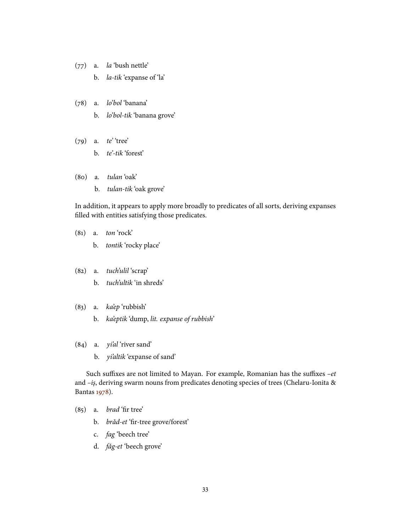- (77) a. la 'bush nettle'
	- b. la-tik 'expanse of 'la'
- (78) a. lo'bol 'banana'
	- b. lo'bol-tik 'banana grove'
- (79) a. te' 'tree' b. te'-tik 'forest'
- (80) a. tulan 'oak'
	- b. tulan-tik 'oak grove'

In addition, it appears to apply more broadly to predicates of all sorts, deriving expanses filled with entities satisfying those predicates.

- (81) a. ton 'rock'
	- b. tontik 'rocky place'
- (82) a. tuch'ulil 'scrap'
	- b. tuch'ultik 'in shreds'
- (83) a. ka'ep 'rubbish'
	- b. ka'eptik 'dump, lit. expanse of rubbish'
- (84) a. yi'al 'river sand'
	- b. *yi'altik* 'expanse of sand'

Such suffixes are not limited to Mayan. For example, Romanian has the suffixes  $-et$ and -iş, deriving swarm nouns from predicates denoting species of trees (Chelaru-Ionita & Bantas [1978\)](#page-37-11).

- $(85)$  a. *brad* 'fir tree'
	- b. brăd-et 'fir-tree grove/forest'
	- c. fag 'beech tree'
	- d. fǎg-et 'beech grove'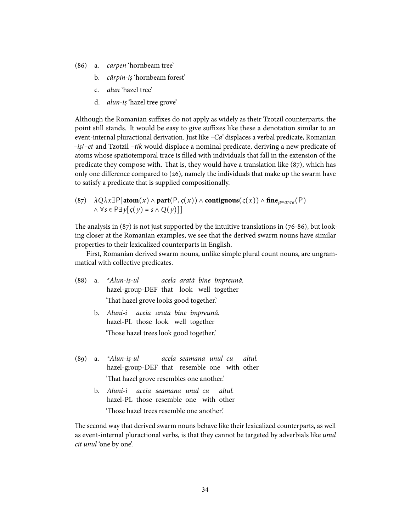- (86) a. carpen 'hornbeam tree'
	- b. cărpin-iş 'hornbeam forest'
	- c. alun 'hazel tree'
	- d. alun-iş 'hazel tree grove'

Although the Romanian suffixes do not apply as widely as their Tzotzil counterparts, the point still stands. It would be easy to give suffixes like these a denotation similar to an event-internal pluractional derivation. Just like  $-Ca$  displaces a verbal predicate, Romanian  $-i$ s/ $-et$  and Tzotzil  $-itk$  would displace a nominal predicate, deriving a new predicate of atoms whose spatiotemporal trace is filled with individuals that fall in the extension of the predicate they compose with. That is, they would have a translation like  $(87)$ , which has only one difference compared to  $(26)$ , namely the individuals that make up the swarm have to satisfy a predicate that is supplied compositionally.

 $(87)$   $\lambda Q\lambda x \exists P[\text{atom}(x) \wedge \text{part}(P, \varsigma(x)) \wedge \text{contiguous}(\varsigma(x)) \wedge \text{fine}_{\mu=area}(P)]$  $\wedge \forall s \in P \exists y [\zeta(y) = s \wedge Q(y)]$ 

The analysis in  $(87)$  is not just supported by the intuitive translations in  $(76-86)$ , but looking closer at the Romanian examples, we see that the derived swarm nouns have similar properties to their lexicalized counterparts in English.

First, Romanian derived swarm nouns, unlike simple plural count nouns, are ungrammatical with collective predicates.

- $(88)$  a. \*Alun-iş-ul hazel-group-DEF that look well together acela arată bine împreună. 'That hazel grove looks good together.'
	- b. Aluni-i hazel-PL those look well together aceia arata bine împreună. 'Those hazel trees look good together.'
- $(89)$  a.  $*Alun-is-ul$ hazel-group-DEF that resemble one with other acela seamana unul cu altul. 'That hazel grove resembles one another.'
	- b. *Aluni-i aceia seamana unul cu* hazel-PL those resemble one with other altul. 'Those hazel trees resemble one another.'

The second way that derived swarm nouns behave like their lexicalized counterparts, as well as event-internal pluractional verbs, is that they cannot be targeted by adverbials like *unul* cit unul 'one by one'.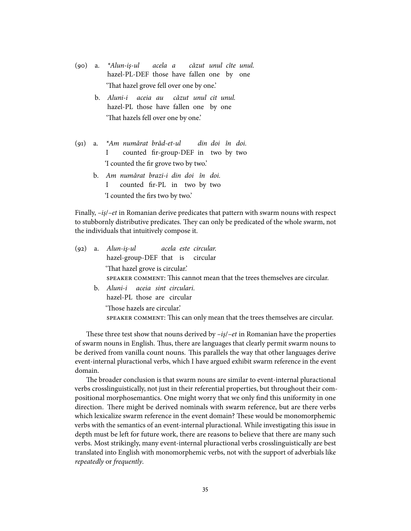- $(90)$  a. \*Alun-iş-ul hazel-PL-DEF those have fallen one by one acela a căzut unul cîte unul. 'That hazel grove fell over one by one.'
	- b. Aluni-i aceia au căzut unul cit unul. hazel-PL those have fallen one by one 'That hazels fell over one by one.'
- $(91)$  a. I numărat brăd-et-ul counted fir-group-DEF in two by two din doi în doi. 'I counted the fir grove two by two.'
	- b. Am numărat brazi-i din doi în doi. I counted fir-PL in two by two 'I counted the firs two by two.'

Finally,  $-i\zeta$  –et in Romanian derive predicates that pattern with swarm nouns with respect to stubbornly distributive predicates. They can only be predicated of the whole swarm, not the individuals that intuitively compose it.

|  | (92) a. Alun-iș-ul acela este circular. |  |                                                                           |
|--|-----------------------------------------|--|---------------------------------------------------------------------------|
|  | hazel-group-DEF that is circular        |  |                                                                           |
|  | 'That hazel grove is circular.'         |  |                                                                           |
|  |                                         |  | SPEAKER COMMENT: This cannot mean that the trees themselves are circular. |
|  | b. Aluni-i aceia sint circulari.        |  |                                                                           |
|  | hazel-PL those are circular             |  |                                                                           |

'Those hazels are circular.' SPEAKER COMMENT: This can only mean that the trees themselves are circular.

These three test show that nouns derived by  $-i\varsigma$  –et in Romanian have the properties of swarm nouns in English. Thus, there are languages that clearly permit swarm nouns to be derived from vanilla count nouns. This parallels the way that other languages derive event-internal pluractional verbs, which I have argued exhibit swarm reference in the event domain.

The broader conclusion is that swarm nouns are similar to event-internal pluractional verbs crosslinguistically, not just in their referential properties, but throughout their compositional morphosemantics. One might worry that we only find this uniformity in one direction. There might be derived nominals with swarm reference, but are there verbs which lexicalize swarm reference in the event domain? These would be monomorphemic verbs with the semantics of an event-internal pluractional. While investigating this issue in depth must be left for future work, there are reasons to believe that there are many such verbs. Most strikingly, many event-internal pluractional verbs crosslinguistically are best translated into English with monomorphemic verbs, not with the support of adverbials like repeatedly or frequently.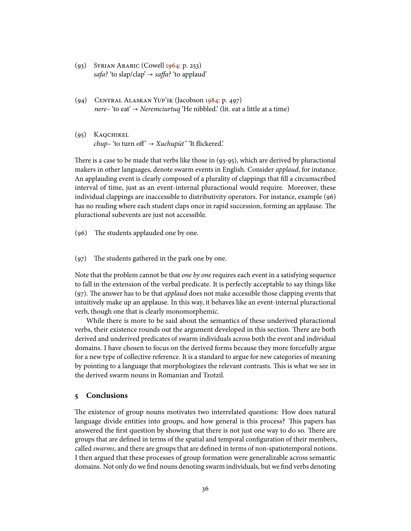- (93) Syrian Arabic (Cowell [1964:](#page-37-12) p. 253) safa? 'to slap/clap'  $\rightarrow$  saffa? 'to applaud'
- (94) Central Alaskan Yup'ik (Jacobson [1984:](#page-38-15) p. 497) *nere*– 'to eat'  $\rightarrow$  *Neremciurtuq* 'He nibbled.' (lit. eat a little at a time)
- (95) Kaqchikel  $chup$ – 'to turn off'  $\rightarrow$  Xuchupüt" 'It flickered.'

There is a case to be made that verbs like those in  $(93-95)$ , which are derived by pluractional makers in other languages, denote swarm events in English. Consider *applaud*, for instance. An applauding event is clearly composed of a plurality of clappings that fill a circumscribed interval of time, just as an event-internal pluractional would require. Moreover, these individual clappings are inaccessible to distributivity operators. For instance, example (96) has no reading where each student claps once in rapid succession, forming an applause. The pluractional subevents are just not accessible.

 $(96)$  The students applauded one by one.

 $(97)$  The students gathered in the park one by one.

Note that the problem cannot be that *one by one* requires each event in a satisfying sequence to fall in the extension of the verbal predicate. It is perfectly acceptable to say things like  $(97)$ . The answer has to be that *applaud* does not make accessible those clapping events that intuitively make up an applause. In this way, it behaves like an event-internal pluractional verb, though one that is clearly monomorphemic.

While there is more to be said about the semantics of these underived pluractional verbs, their existence rounds out the argument developed in this section. There are both derived and underived predicates of swarm individuals across both the event and individual domains. I have chosen to focus on the derived forms because they more forcefully argue for a new type of collective reference. It is a standard to argue for new categories of meaning by pointing to a language that morphologizes the relevant contrasts. This is what we see in the derived swarm nouns in Romanian and Tzotzil.

# **5 Conclusions**

The existence of group nouns motivates two interrelated questions: How does natural language divide entities into groups, and how general is this process? This papers has answered the first question by showing that there is not just one way to do so. There are groups that are defined in terms of the spatial and temporal configuration of their members, called *swarms*, and there are groups that are defined in terms of non-spatiotemporal notions. I then argued that these processes of group formation were generalizable across semantic domains. Not only do we find nouns denoting swarm individuals, but we find verbs denoting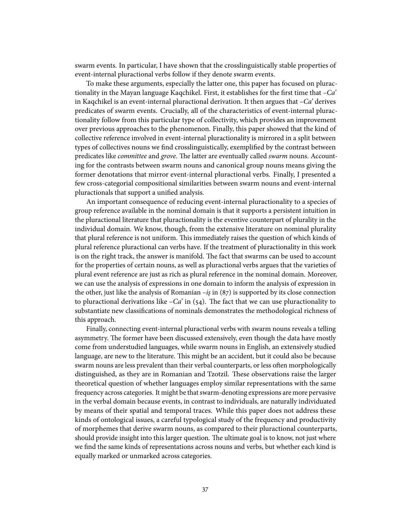swarm events. In particular, I have shown that the crosslinguistically stable properties of event-internal pluractional verbs follow if they denote swarm events.

To make these arguments, especially the latter one, this paper has focused on pluractionality in the Mayan language Kaqchikel. First, it establishes for the first time that  $-Ca'$ in Kaqchikel is an event-internal pluractional derivation. It then argues that  $-Ca'$  derives predicates of swarm events. Crucially, all of the characteristics of event-internal pluractionality follow from this particular type of collectivity, which provides an improvement over previous approaches to the phenomenon. Finally, this paper showed that the kind of collective reference involved in event-internal pluractionality is mirrored in a split between types of collectives nouns we find crosslinguistically, exemplified by the contrast between predicates like *committee* and grove. The latter are eventually called swarm nouns. Accounting for the contrasts between swarm nouns and canonical group nouns means giving the former denotations that mirror event-internal pluractional verbs. Finally, I presented a few cross-categorial compositional similarities between swarm nouns and event-internal pluractionals that support a unified analysis.

An important consequence of reducing event-internal pluractionality to a species of group reference available in the nominal domain is that it supports a persistent intuition in the pluractional literature that pluractionality is the eventive counterpart of plurality in the individual domain. We know, though, from the extensive literature on nominal plurality that plural reference is not uniform. This immediately raises the question of which kinds of plural reference pluractional can verbs have. If the treatment of pluractionality in this work is on the right track, the answer is manifold. The fact that swarms can be used to account for the properties of certain nouns, as well as pluractional verbs argues that the varieties of plural event reference are just as rich as plural reference in the nominal domain. Moreover, we can use the analysis of expressions in one domain to inform the analysis of expression in the other, just like the analysis of Romanian  $-i\zeta$  in (87) is supported by its close connection to pluractional derivations like  $-Ca'$  in (54). The fact that we can use pluractionality to substantiate new classifications of nominals demonstrates the methodological richness of this approach.

Finally, connecting event-internal pluractional verbs with swarm nouns reveals a telling asymmetry. The former have been discussed extensively, even though the data have mostly come from understudied languages, while swarm nouns in English, an extensively studied language, are new to the literature. This might be an accident, but it could also be because swarm nouns are less prevalent than their verbal counterparts, or less often morphologically distinguished, as they are in Romanian and Tzotzil. These observations raise the larger theoretical question of whether languages employ similar representations with the same frequency across categories. It might be that swarm-denoting expressions are more pervasive in the verbal domain because events, in contrast to individuals, are naturally individuated by means of their spatial and temporal traces. While this paper does not address these kinds of ontological issues, a careful typological study of the frequency and productivity of morphemes that derive swarm nouns, as compared to their pluractional counterparts, should provide insight into this larger question. The ultimate goal is to know, not just where we find the same kinds of representations across nouns and verbs, but whether each kind is equally marked or unmarked across categories.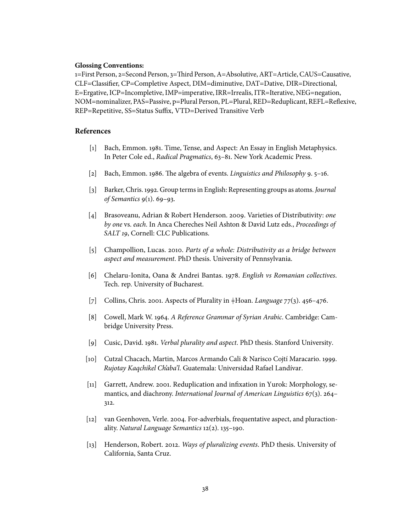# **Glossing Conventions:**

1=First Person, 2=Second Person, 3=Third Person, A=Absolutive, ART=Article, CAUS=Causative, CLF=Classier, CP=Completive Aspect, DIM=diminutive, DAT=Dative, DIR=Directional, E=Ergative, ICP=Incompletive, IMP=imperative, IRR=Irrealis, ITR=Iterative, NEG=negation, NOM=nominalizer, PAS=Passive, p=Plural Person, PL=Plural, RED=Reduplicant, REFL=Reflexive, REP=Repetitive, SS=Status Suffix, VTD=Derived Transitive Verb

# **References**

- <span id="page-37-1"></span>[1] Bach, Emmon. 1981. Time, Tense, and Aspect: An Essay in English Metaphysics. In Peter Cole ed., Radical Pragmatics, 63–81. New York Academic Press.
- <span id="page-37-2"></span>[2] Bach, Emmon. 1986. The algebra of events. Linguistics and Philosophy 9.  $5-16$ .
- <span id="page-37-3"></span>[3] Barker, Chris. 1992. Group terms in English: Representing groups as atoms. Journal of Semantics 9(1). 69–93.
- <span id="page-37-4"></span>[4] Brasoveanu, Adrian & Robert Henderson. 2009. Varieties of Distributivity: one by one vs. each. In Anca Chereches Neil Ashton & David Lutz eds., Proceedings of SALT 19, Cornell: CLC Publications.
- <span id="page-37-5"></span>[5] Champollion, Lucas. 2010. Parts of a whole: Distributivity as a bridge between aspect and measurement. PhD thesis. University of Pennsylvania.
- <span id="page-37-11"></span>[6] Chelaru-Ionita, Oana & Andrei Bantas. 1978. English vs Romanian collectives. Tech. rep. University of Bucharest.
- <span id="page-37-8"></span>[7] Collins, Chris. 2001. Aspects of Plurality in  $\dagger$ Hoan. *Language* 77(3). 456–476.
- <span id="page-37-12"></span>[8] Cowell, Mark W. 1964. A Reference Grammar of Syrian Arabic. Cambridge: Cambridge University Press.
- <span id="page-37-0"></span>[9] Cusic, David. 1981. Verbal plurality and aspect. PhD thesis. Stanford University.
- <span id="page-37-7"></span>[10] Cutzal Chacach, Martin, Marcos Armando Cali & Narisco Cojtí Maracario. 1999. Rujotay Kaqchikel Ch'aba'l. Guatemala: Universidad Rafael Landívar.
- <span id="page-37-6"></span>[11] Garrett, Andrew. 2001. Reduplication and infixation in Yurok: Morphology, semantics, and diachrony. International Journal of American Linguistics 67(3). 264– 312.
- <span id="page-37-10"></span>[12] van Geenhoven, Verle. 2004. For-adverbials, frequentative aspect, and pluractionality. Natural Language Semantics 12(2). 135–190.
- <span id="page-37-9"></span>[13] Henderson, Robert. 2012. Ways of pluralizing events. PhD thesis. University of California, Santa Cruz.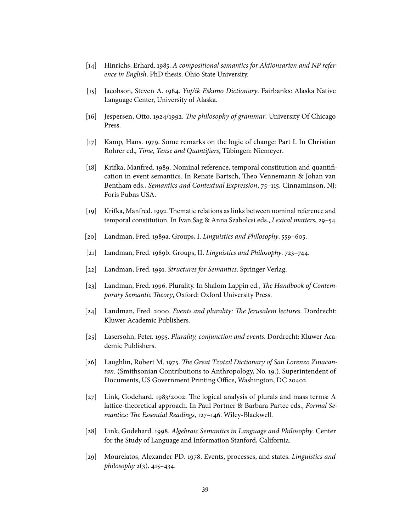- <span id="page-38-10"></span>[14] Hinrichs, Erhard. 1985. A compositional semantics for Aktionsarten and NP reference in English. PhD thesis. Ohio State University.
- <span id="page-38-15"></span>[15] Jacobson, Steven A. 1984. Yup'ik Eskimo Dictionary. Fairbanks: Alaska Native Language Center, University of Alaska.
- <span id="page-38-6"></span>[16] Jespersen, Otto. 1924/1992. The philosophy of grammar. University Of Chicago Press.
- <span id="page-38-12"></span>[17] Kamp, Hans. 1979. Some remarks on the logic of change: Part I. In Christian Rohrer ed., Time, Tense and Quantifiers, Tübingen: Niemeyer.
- <span id="page-38-0"></span>[18] Krifka, Manfred. 1989. Nominal reference, temporal constitution and quantification in event semantics. In Renate Bartsch, Theo Vennemann & Johan van Bentham eds., Semantics and Contextual Expression, 75–115. Cinnaminson, NJ: Foris Pubns USA.
- <span id="page-38-1"></span>[19] Krifka, Manfred. 1992. Thematic relations as links between nominal reference and temporal constitution. In Ivan Sag & Anna Szabolcsi eds., Lexical matters, 29–54.
- <span id="page-38-7"></span>[20] Landman, Fred. 1989a. Groups, I. Linguistics and Philosophy. 559–605.
- <span id="page-38-8"></span>[21] Landman, Fred. 1989b. Groups, II. Linguistics and Philosophy. 723–744.
- <span id="page-38-11"></span>[22] Landman, Fred. 1991. Structures for Semantics. Springer Verlag.
- <span id="page-38-13"></span>[23] Landman, Fred. 1996. Plurality. In Shalom Lappin ed., *The Handbook of Contem*porary Semantic Theory, Oxford: Oxford University Press.
- <span id="page-38-2"></span> $[24]$  Landman, Fred. 2000. Events and plurality: The Jerusalem lectures. Dordrecht: Kluwer Academic Publishers.
- <span id="page-38-3"></span>[25] Lasersohn, Peter. 1995. Plurality, conjunction and events. Dordrecht: Kluwer Academic Publishers.
- <span id="page-38-14"></span>[26] Laughlin, Robert M. 1975. The Great Tzotzil Dictionary of San Lorenzo Zinacantan. (Smithsonian Contributions to Anthropology, No. 19.). Superintendent of Documents, US Government Printing Office, Washington, DC 20402.
- <span id="page-38-9"></span>[27] Link, Godehard. 1983/2002. The logical analysis of plurals and mass terms: A lattice-theoretical approach. In Paul Portner & Barbara Partee eds., Formal Semantics: The Essential Readings, 127-146. Wiley-Blackwell.
- <span id="page-38-4"></span>[28] Link, Godehard. 1998. Algebraic Semantics in Language and Philosophy. Center for the Study of Language and Information Stanford, California.
- <span id="page-38-5"></span>[29] Mourelatos, Alexander PD. 1978. Events, processes, and states. Linguistics and philosophy  $2(3)$ . 415–434.